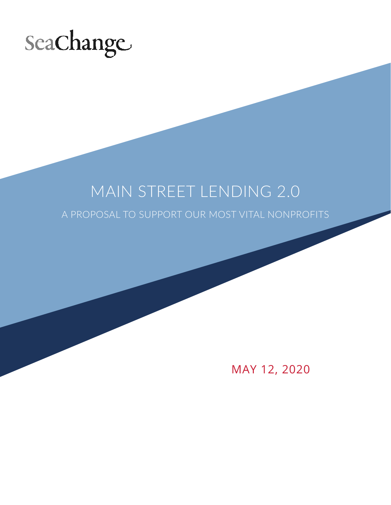

# MAIN STREET LENDING 2.0

A PROPOSAL TO SUPPORT OUR MOST VITAL NONPROFITS

MAY 12, 2020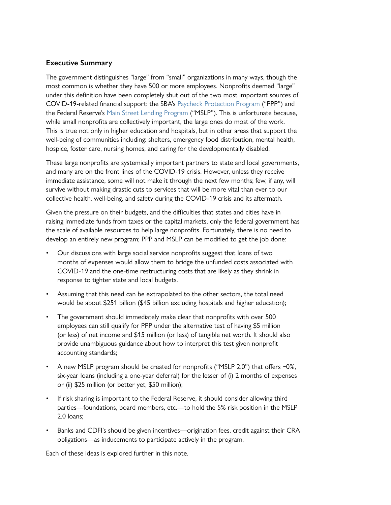# **Executive Summary**

The government distinguishes "large" from "small" organizations in many ways, though the most common is whether they have 500 or more employees. Nonprofits deemed "large" under this definition have been completely shut out of the two most important sources of COVID-19-related financial support: the SBA's [Paycheck Protection Program](https://www.sba.gov/funding-programs/loans/coronavirus-relief-options/paycheck-protection-program) ("PPP") and the Federal Reserve's [Main Street Lending Program](https://www.federalreserve.gov/monetarypolicy/mainstreetlending.htm) ("MSLP"). This is unfortunate because, while small nonprofits are collectively important, the large ones do most of the work. This is true not only in higher education and hospitals, but in other areas that support the well-being of communities including: shelters, emergency food distribution, mental health, hospice, foster care, nursing homes, and caring for the developmentally disabled.

These large nonprofits are systemically important partners to state and local governments, and many are on the front lines of the COVID-19 crisis. However, unless they receive immediate assistance, some will not make it through the next few months; few, if any, will survive without making drastic cuts to services that will be more vital than ever to our collective health, well-being, and safety during the COVID-19 crisis and its aftermath.

Given the pressure on their budgets, and the difficulties that states and cities have in raising immediate funds from taxes or the capital markets, only the federal government has the scale of available resources to help large nonprofits. Fortunately, there is no need to develop an entirely new program; PPP and MSLP can be modified to get the job done:

- Our discussions with large social service nonprofits suggest that loans of two months of expenses would allow them to bridge the unfunded costs associated with COVID-19 and the one-time restructuring costs that are likely as they shrink in response to tighter state and local budgets.
- Assuming that this need can be extrapolated to the other sectors, the total need would be about \$251 billion (\$45 billion excluding hospitals and higher education);
- The government should immediately make clear that nonprofits with over 500 employees can still qualify for PPP under the alternative test of having \$5 million (or less) of net income and \$15 million (or less) of tangible net worth. It should also provide unambiguous guidance about how to interpret this test given nonprofit accounting standards;
- A new MSLP program should be created for nonprofits ("MSLP 2.0") that offers  $\sim$ 0%, six-year loans (including a one-year deferral) for the lesser of (i) 2 months of expenses or (ii) \$25 million (or better yet, \$50 million);
- If risk sharing is important to the Federal Reserve, it should consider allowing third parties—foundations, board members, etc.—to hold the 5% risk position in the MSLP 2.0 loans;
- Banks and CDFI's should be given incentives—origination fees, credit against their CRA obligations—as inducements to participate actively in the program.

Each of these ideas is explored further in this note.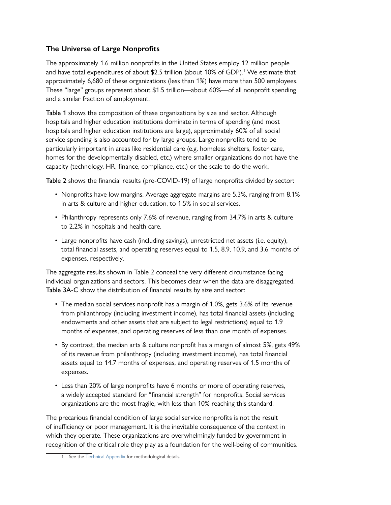# **The Universe of Large Nonprofits**

The approximately 1.6 million nonprofits in the United States employ 12 million people and have total expenditures of about \$2.5 trillion (about 10% of GDP).1 We estimate that approximately 6,680 of these organizations (less than 1%) have more than 500 employees. These "large" groups represent about \$1.5 trillion—about 60%—of all nonprofit spending and a similar fraction of employment.

Table 1 shows the composition of these organizations by size and sector. Although hospitals and higher education institutions dominate in terms of spending (and most hospitals and higher education institutions are large), approximately 60% of all social service spending is also accounted for by large groups. Large nonprofits tend to be particularly important in areas like residential care (e.g. homeless shelters, foster care, homes for the developmentally disabled, etc.) where smaller organizations do not have the capacity (technology, HR, finance, compliance, etc.) or the scale to do the work.

Table 2 shows the financial results (pre-COVID-19) of large nonprofits divided by sector:

- Nonprofits have low margins. Average aggregate margins are 5.3%, ranging from 8.1% in arts & culture and higher education, to 1.5% in social services.
- Philanthropy represents only 7.6% of revenue, ranging from 34.7% in arts & culture to 2.2% in hospitals and health care.
- Large nonprofits have cash (including savings), unrestricted net assets (i.e. equity), total financial assets, and operating reserves equal to 1.5, 8.9, 10.9, and 3.6 months of expenses, respectively.

The aggregate results shown in Table 2 conceal the very different circumstance facing individual organizations and sectors. This becomes clear when the data are disaggregated. Table 3A-C show the distribution of financial results by size and sector:

- The median social services nonprofit has a margin of 1.0%, gets 3.6% of its revenue from philanthropy (including investment income), has total financial assets (including endowments and other assets that are subject to legal restrictions) equal to 1.9 months of expenses, and operating reserves of less than one month of expenses.
- By contrast, the median arts & culture nonprofit has a margin of almost 5%, gets 49% of its revenue from philanthropy (including investment income), has total financial assets equal to 14.7 months of expenses, and operating reserves of 1.5 months of expenses.
- Less than 20% of large nonprofits have 6 months or more of operating reserves, a widely accepted standard for "financial strength" for nonprofits. Social services organizations are the most fragile, with less than 10% reaching this standard.

The precarious financial condition of large social service nonprofits is not the result of inefficiency or poor management. It is the inevitable consequence of the context in which they operate. These organizations are overwhelmingly funded by government in recognition of the critical role they play as a foundation for the well-being of communities.

<sup>1</sup> See the [Technical Appendix](http://seachangecap.org/wp-content/uploads/2020/05/Technical-Appendix.xlsx) for methodological details.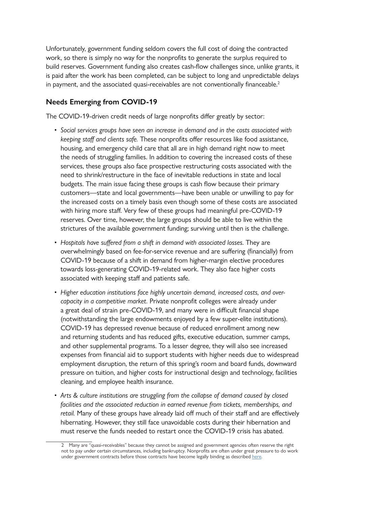Unfortunately, government funding seldom covers the full cost of doing the contracted work, so there is simply no way for the nonprofits to generate the surplus required to build reserves. Government funding also creates cash-flow challenges since, unlike grants, it is paid after the work has been completed, can be subject to long and unpredictable delays in payment, and the associated quasi-receivables are not conventionally financeable.<sup>2</sup>

# **Needs Emerging from COVID-19**

The COVID-19-driven credit needs of large nonprofits differ greatly by sector:

- *• Social services groups have seen an increase in demand and in the costs associated with keeping staff and clients safe.* These nonprofits offer resources like food assistance, housing, and emergency child care that all are in high demand right now to meet the needs of struggling families. In addition to covering the increased costs of these services, these groups also face prospective restructuring costs associated with the need to shrink/restructure in the face of inevitable reductions in state and local budgets. The main issue facing these groups is cash flow because their primary customers—state and local governments—have been unable or unwilling to pay for the increased costs on a timely basis even though some of these costs are associated with hiring more staff. Very few of these groups had meaningful pre-COVID-19 reserves. Over time, however, the large groups should be able to live within the strictures of the available government funding; surviving until then is the challenge.
- *• Hospitals have suffered from a shift in demand with associated losses*. They are overwhelmingly based on fee-for-service revenue and are suffering (financially) from COVID-19 because of a shift in demand from higher-margin elective procedures towards loss-generating COVID-19-related work. They also face higher costs associated with keeping staff and patients safe.
- *• Higher education institutions face highly uncertain demand, increased costs, and overcapacity in a competitive market.* Private nonprofit colleges were already under a great deal of strain pre-COVID-19, and many were in difficult financial shape (notwithstanding the large endowments enjoyed by a few super-elite institutions). COVID-19 has depressed revenue because of reduced enrollment among new and returning students and has reduced gifts, executive education, summer camps, and other supplemental programs. To a lesser degree, they will also see increased expenses from financial aid to support students with higher needs due to widespread employment disruption, the return of this spring's room and board funds, downward pressure on tuition, and higher costs for instructional design and technology, facilities cleaning, and employee health insurance.
- *• Arts & culture institutions are struggling from the collapse of demand caused by closed facilities and the associated reduction in earned revenue from tickets, memberships, and retail.* Many of these groups have already laid off much of their staff and are effectively hibernating. However, they still face unavoidable costs during their hibernation and must reserve the funds needed to restart once the COVID-19 crisis has abated.

<sup>2</sup> Many are "quasi-receivables" because they cannot be assigned and government agencies often reserve the right not to pay under certain circumstances, including bankruptcy. Nonprofits are often under great pressure to do work under government contracts before those contracts have become legally binding as described [here](http://seachangecap.org/wp-content/uploads/2020/01/NYC-Contract-Delays-The-Facts.pdf).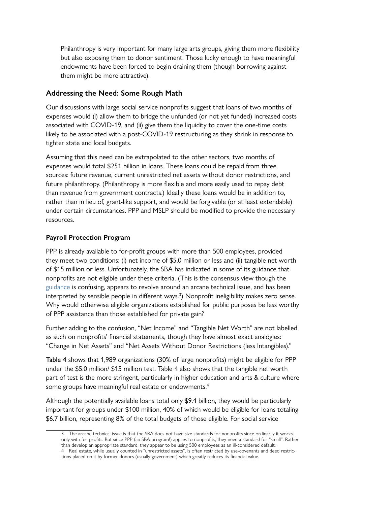Philanthropy is very important for many large arts groups, giving them more flexibility but also exposing them to donor sentiment. Those lucky enough to have meaningful endowments have been forced to begin draining them (though borrowing against them might be more attractive).

## **Addressing the Need: Some Rough Math**

Our discussions with large social service nonprofits suggest that loans of two months of expenses would (i) allow them to bridge the unfunded (or not yet funded) increased costs associated with COVID-19, and (ii) give them the liquidity to cover the one-time costs likely to be associated with a post-COVID-19 restructuring as they shrink in response to tighter state and local budgets.

Assuming that this need can be extrapolated to the other sectors, two months of expenses would total \$251 billion in loans. These loans could be repaid from three sources: future revenue, current unrestricted net assets without donor restrictions, and future philanthropy. (Philanthropy is more flexible and more easily used to repay debt than revenue from government contracts.) Ideally these loans would be in addition to, rather than in lieu of, grant-like support, and would be forgivable (or at least extendable) under certain circumstances. PPP and MSLP should be modified to provide the necessary resources.

## **Payroll Protection Program**

PPP is already available to for-profit groups with more than 500 employees, provided they meet two conditions: (i) net income of \$5.0 million or less and (ii) tangible net worth of \$15 million or less. Unfortunately, the SBA has indicated in some of its guidance that nonprofits are not eligible under these criteria. (This is the consensus view though the [guidance](http://seachangecap.org/wp-content/uploads/2020/05/April-4-SBA-Guidance-on-Affiliation.pdf) is confusing, appears to revolve around an arcane technical issue, and has been interpreted by sensible people in different ways.<sup>3</sup>) Nonprofit ineligibility makes zero sense. Why would otherwise eligible organizations established for public purposes be less worthy of PPP assistance than those established for private gain?

Further adding to the confusion, "Net Income" and "Tangible Net Worth" are not labelled as such on nonprofits' financial statements, though they have almost exact analogies: "Change in Net Assets" and "Net Assets Without Donor Restrictions (less Intangibles)."

Table 4 shows that 1,989 organizations (30% of large nonprofits) might be eligible for PPP under the \$5.0 million/ \$15 million test. Table 4 also shows that the tangible net worth part of test is the more stringent, particularly in higher education and arts & culture where some groups have meaningful real estate or endowments.<sup>4</sup>

Although the potentially available loans total only \$9.4 billion, they would be particularly important for groups under \$100 million, 40% of which would be eligible for loans totaling \$6.7 billion, representing 8% of the total budgets of those eligible. For social service

<sup>3</sup> The arcane technical issue is that the SBA does not have size standards for nonprofits since ordinarily it works only with for-profits. But since PPP (an SBA program!) applies to nonprofits, they need a standard for "small". Rather than develop an appropriate standard, they appear to be using 500 employees as an ill-considered default. 4 Real estate, while usually counted in "unrestricted assets", is often restricted by use-covenants and deed restrictions placed on it by former donors (usually government) which greatly reduces its financial value.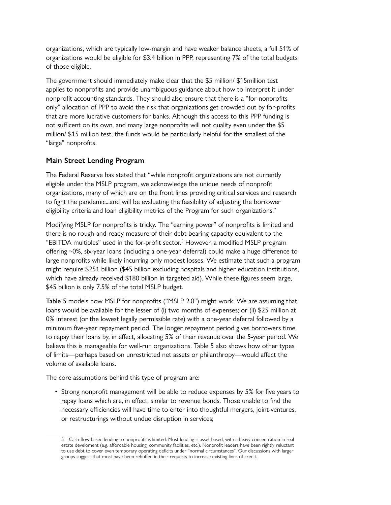organizations, which are typically low-margin and have weaker balance sheets, a full 51% of organizations would be eligible for \$3.4 billion in PPP, representing 7% of the total budgets of those eligible.

The government should immediately make clear that the \$5 million/ \$15million test applies to nonprofits and provide unambiguous guidance about how to interpret it under nonprofit accounting standards. They should also ensure that there is a "for-nonprofits only" allocation of PPP to avoid the risk that organizations get crowded out by for-profits that are more lucrative customers for banks. Although this access to this PPP funding is not sufficent on its own, and many large nonprofits will not quality even under the \$5 million/ \$15 million test, the funds would be particularly helpful for the smallest of the "large" nonprofits.

## **Main Street Lending Program**

The Federal Reserve has stated that "while nonprofit organizations are not currently eligible under the MSLP program, we acknowledge the unique needs of nonprofit organizations, many of which are on the front lines providing critical services and research to fight the pandemic...and will be evaluating the feasibility of adjusting the borrower eligibility criteria and loan eligibility metrics of the Program for such organizations."

Modifying MSLP for nonprofits is tricky. The "earning power" of nonprofits is limited and there is no rough-and-ready measure of their debt-bearing capacity equivalent to the "EBITDA multiples" used in the for-profit sector.5 However, a modified MSLP program offering ~0%, six-year loans (including a one-year deferral) could make a huge difference to large nonprofits while likely incurring only modest losses. We estimate that such a program might require \$251 billion (\$45 billion excluding hospitals and higher education institutions, which have already received \$180 billion in targeted aid). While these figures seem large, \$45 billion is only 7.5% of the total MSLP budget.

Table 5 models how MSLP for nonprofits ("MSLP 2.0") might work. We are assuming that loans would be available for the lesser of (i) two months of expenses; or (ii) \$25 million at 0% interest (or the lowest legally permissible rate) with a one-year deferral followed by a minimum five-year repayment period. The longer repayment period gives borrowers time to repay their loans by, in effect, allocating 5% of their revenue over the 5-year period. We believe this is manageable for well-run organizations. Table 5 also shows how other types of limits—perhaps based on unrestricted net assets or philanthropy—would affect the volume of available loans.

The core assumptions behind this type of program are:

• Strong nonprofit management will be able to reduce expenses by 5% for five years to repay loans which are, in effect, similar to revenue bonds. Those unable to find the necessary efficiencies will have time to enter into thoughtful mergers, joint-ventures, or restructurings without undue disruption in services;

<sup>5</sup> Cash-flow based lending to nonprofits is limited. Most lending is asset based, with a heavy concentration in real estate develoment (e.g. affordable housing, community facilities, etc.). Nonprofit leaders have been rightly reluctant to use debt to cover even temporary operating deficits under "normal circumstances". Our discussions with larger groups suggest that most have been rebuffed in their requests to increase existing lines of credit.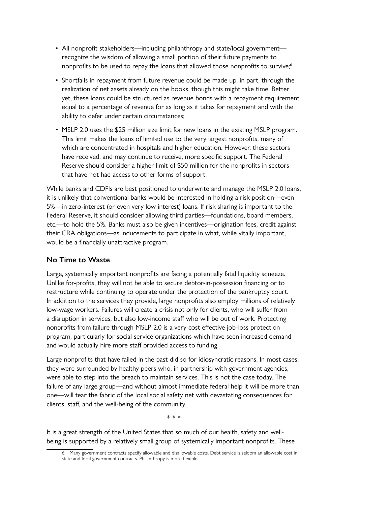- All nonprofit stakeholders—including philanthropy and state/local government recognize the wisdom of allowing a small portion of their future payments to nonprofits to be used to repay the loans that allowed those nonprofits to survive;<sup>6</sup>
- Shortfalls in repayment from future revenue could be made up, in part, through the realization of net assets already on the books, though this might take time. Better yet, these loans could be structured as revenue bonds with a repayment requirement equal to a percentage of revenue for as long as it takes for repayment and with the ability to defer under certain circumstances;
- MSLP 2.0 uses the \$25 million size limit for new loans in the existing MSLP program. This limit makes the loans of limited use to the very largest nonprofits, many of which are concentrated in hospitals and higher education. However, these sectors have received, and may continue to receive, more specific support. The Federal Reserve should consider a higher limit of \$50 million for the nonprofits in sectors that have not had access to other forms of support.

While banks and CDFIs are best positioned to underwrite and manage the MSLP 2.0 loans, it is unlikely that conventional banks would be interested in holding a risk position—even 5%—in zero-interest (or even very low interest) loans. If risk sharing is important to the Federal Reserve, it should consider allowing third parties—foundations, board members, etc.—to hold the 5%. Banks must also be given incentives—origination fees, credit against their CRA obligations—as inducements to participate in what, while vitally important, would be a financially unattractive program.

## **No Time to Waste**

Large, systemically important nonprofits are facing a potentially fatal liquidity squeeze. Unlike for-profits, they will not be able to secure debtor-in-possession financing or to restructure while continuing to operate under the protection of the bankruptcy court. In addition to the services they provide, large nonprofits also employ millions of relatively low-wage workers. Failures will create a crisis not only for clients, who will suffer from a disruption in services, but also low-income staff who will be out of work. Protecting nonprofits from failure through MSLP 2.0 is a very cost effective job-loss protection program, particularly for social service organizations which have seen increased demand and would actually hire more staff provided access to funding.

Large nonprofits that have failed in the past did so for idiosyncratic reasons. In most cases, they were surrounded by healthy peers who, in partnership with government agencies, were able to step into the breach to maintain services. This is not the case today. The failure of any large group—and without almost immediate federal help it will be more than one—will tear the fabric of the local social safety net with devastating consequences for clients, staff, and the well-being of the community.

\* \* \*

It is a great strength of the United States that so much of our health, safety and wellbeing is supported by a relatively small group of systemically important nonprofits. These

<sup>6</sup> Many government contracts specify allowable and disallowable costs. Debt service is seldom an allowable cost in state and local government contracts. Philanthropy is more flexible.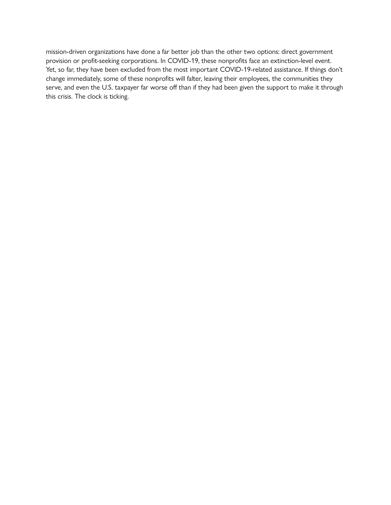mission-driven organizations have done a far better job than the other two options: direct government provision or profit-seeking corporations. In COVID-19, these nonprofits face an extinction-level event. Yet, so far, they have been excluded from the most important COVID-19-related assistance. If things don't change immediately, some of these nonprofits will falter, leaving their employees, the communities they serve, and even the U.S. taxpayer far worse off than if they had been given the support to make it through this crisis. The clock is ticking.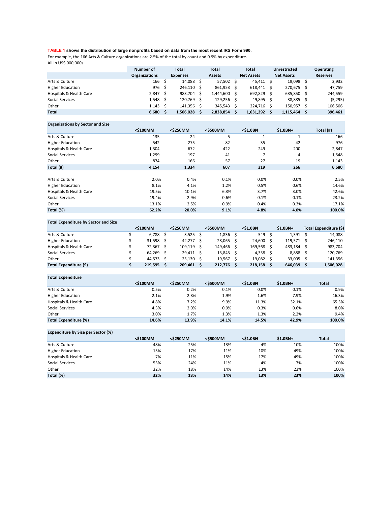#### **TABLE 1 shows the distribution of large nonprofits based on data from the most recent IRS Form 990.**

For example, the 166 Arts & Culture organizations are 2.5% of the total by count and 0.9% by expenditure. All in US\$ 000,000s

|                         | Number of            | Total           | Total         |     | <b>Total</b>      | <b>Unrestricted</b> | <b>Operating</b> |
|-------------------------|----------------------|-----------------|---------------|-----|-------------------|---------------------|------------------|
|                         | <b>Organizations</b> | <b>Expenses</b> | <b>Assets</b> |     | <b>Net Assets</b> | <b>Net Assets</b>   | <b>Reserves</b>  |
| Arts & Culture          | 166 <sup>5</sup>     | 14,088 \$       | 57,502        | - S | 45,411 \$         | 19,098              | 2,932            |
| <b>Higher Education</b> | 976 \$               | $246,110$ \$    | 861.953       |     | 618.441           | 270,675             | 47,759           |
| Hospitals & Health Care | $2,847$ \$           | 983,704 \$      | 1,444,600     |     | 692,829           | 635,850             | 244,559          |
| Social Services         | $1.548 \quad$ \$     | 120,769 \$      | 129.256       | - S | 49.895            | 38,885              | (5,295)          |
| Other                   | $1,143 \quad$ \$     | 141,356 \$      | 345,543       |     | 224,716           | 150,957             | 106,506          |
| <b>Total</b>            | $6,680$ \$           | 1,506,028       | 2,838,854     |     | 1,631,292         | 1,115,464           | 396,461          |

#### **Organizations by Sector and Size**

|                         | <\$100MM | <\$250MM | <\$500MM | $<$ \$1.0BN | \$1.0BN+ | Total (#) |
|-------------------------|----------|----------|----------|-------------|----------|-----------|
| Arts & Culture          | 135      | 24       | 5        | 1           | 1        | 166       |
| <b>Higher Education</b> | 542      | 275      | 82       | 35          | 42       | 976       |
| Hospitals & Health Care | 1,304    | 672      | 422      | 249         | 200      | 2,847     |
| Social Services         | 1,299    | 197      | 41       | ⇁           | 4        | 1,548     |
| Other                   | 874      | 166      | 57       | 27          | 19       | 1,143     |
| Total (#)               | 4,154    | 1,334    | 607      | 319         | 266      | 6,680     |
|                         |          |          |          |             |          |           |
| Arts & Culture          | 2.0%     | 0.4%     | 0.1%     | 0.0%        | 0.0%     | 2.5%      |
| <b>Higher Education</b> | 8.1%     | 4.1%     | 1.2%     | 0.5%        | 0.6%     | 14.6%     |
| Hospitals & Health Care | 19.5%    | 10.1%    | 6.3%     | 3.7%        | 3.0%     | 42.6%     |
| Social Services         | 19.4%    | 2.9%     | 0.6%     | 0.1%        | 0.1%     | 23.2%     |
| Other                   | 13.1%    | 2.5%     | 0.9%     | 0.4%        | 0.3%     | 17.1%     |
| Total (%)               | 62.2%    | 20.0%    | 9.1%     | 4.8%        | 4.0%     | 100.0%    |

#### **Total Expenditure by Sector and Size**

|                         | <\$100MM  | <\$250MM    |  | <\$500MM |  | $<$ \$1.0BN |  | $$1.0BN+$ |  | Total Expenditure (\$) |
|-------------------------|-----------|-------------|--|----------|--|-------------|--|-----------|--|------------------------|
| Arts & Culture          | 6.788     | $3,525$ \$  |  | 1,836    |  | 549         |  | 1,391     |  | 14,088                 |
| <b>Higher Education</b> | 31.598S   | 42.277 \$   |  | 28.065   |  | 24.600      |  | 119,571   |  | 246.110                |
| Hospitals & Health Care | 72,367    | 109,119     |  | 149,466  |  | 169.568     |  | 483.184   |  | 983,704                |
| Social Services         | 64.269 \$ | $29,411$ \$ |  | 13.843   |  | 4.358       |  | 8.888     |  | 120,769                |
| Other                   | 44.573 \$ | $25,130$ \$ |  | 19.567   |  | 19,082      |  | 33.005    |  | 141,356                |
| Total Expenditure (\$)  | 219,595   | 209,461     |  | 212,776  |  | 218,158     |  | 646,039   |  | 1,506,028              |

#### **Total Expenditure**

|                         | <\$100MM | <\$250MM | <\$500MM | $<$ \$1.0BN | $$1.0BN+$ | <b>Total</b> |
|-------------------------|----------|----------|----------|-------------|-----------|--------------|
| Arts & Culture          | 0.5%     | 0.2%     | 0.1%     | 0.0%        | 0.1%      | 0.9%         |
| <b>Higher Education</b> | 2.1%     | 2.8%     | 1.9%     | 1.6%        | 7.9%      | 16.3%        |
| Hospitals & Health Care | 4.8%     | 7.2%     | 9.9%     | 11.3%       | 32.1%     | 65.3%        |
| Social Services         | 4.3%     | 2.0%     | 0.9%     | 0.3%        | 0.6%      | 8.0%         |
| Other                   | 3.0%     | 1.7%     | 1.3%     | 1.3%        | 2.2%      | 9.4%         |
| Total Expenditure (%)   | 14.6%    | 13.9%    | 14.1%    | 14.5%       | 42.9%     | 100.0%       |

#### **Expenditure by Size per Sector (%)**

|                         | <\$100MM | <\$250MM | <\$500MM | $<$ \$1.0BN | $$1.0BN+$ | <b>Total</b> |
|-------------------------|----------|----------|----------|-------------|-----------|--------------|
| Arts & Culture          | 48%      | 25%      | 13%      | 4%          | 10%       | 100%         |
| <b>Higher Education</b> | 13%      | 17%      | 11%      | 10%         | 49%       | 100%         |
| Hospitals & Health Care | 7%       | 11%      | 15%      | 17%         | 49%       | 100%         |
| Social Services         | 53%      | 24%      | 11%      | 4%          | 7%        | 100%         |
| Other                   | 32%      | 18%      | 14%      | 13%         | 23%       | 100%         |
| Total (%)               | 32%      | 18%      | 14%      | 13%         | 23%       | 100%         |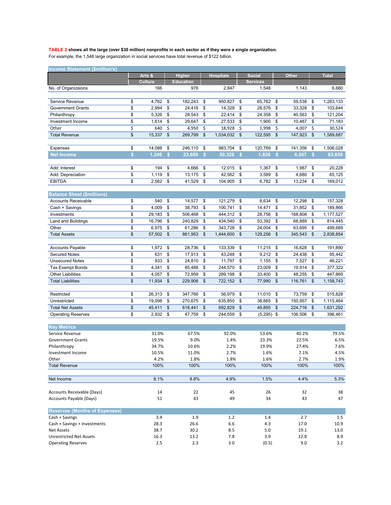#### **TABLE 2 shows all the large (over \$30 million) nonprofits in each sector as if they were a single organization.**

For example, the 1,548 large organization in social services have total revenue of \$122 billion.

| Arts &<br><b>Higher</b><br><b>Social</b><br><b>Hospitals</b><br><b>Other</b><br><b>Total</b><br><b>Culture</b><br>Education<br><b>Services</b><br>166<br>976<br>2,847<br>1,548<br>1,143<br>6,680<br>No. of Organizaions<br>Service Revenue<br>4,762<br>182,243<br>950,827<br>65,762<br>59,538<br>\$<br>1,263,133<br>\$<br>\$<br>\$<br>\$<br>\$<br>\$<br>2,994<br>24,416<br>14,329<br>28,576<br>33,328<br>\$<br><b>Government Grants</b><br>\$<br>\$<br>\$<br>\$<br>103,644<br>\$<br>5,326<br>\$<br>22,414<br>\$<br>24,358<br>\$<br>121,204<br>\$<br>28,543<br>40,563<br>\$<br>Philanthropy<br>\$<br>1,614<br>\$<br>29,647<br>\$<br>27,533<br>\$<br>1,900<br>\$<br>10,487<br>\$<br>71,183<br>Investment Income<br>\$<br>\$<br>Other<br>640<br>4,950<br>\$<br>\$<br>\$<br>\$<br>30,524<br>18,928<br>1,998<br>4,007<br>\$<br><b>Total Revenue</b><br>15,337<br>\$<br>269,799<br>\$<br>122,595<br>\$<br>147,923<br>1,034,032<br>\$<br>\$<br>1,589,687<br>983,704<br>120,769<br>\$<br>14,088<br>\$<br>246.110<br>\$<br>\$<br>\$<br>141,356<br>\$<br>1,506,028<br>Expenses<br>\$<br>1,249<br>$\mathsf{\$}$<br>23,689<br>\$<br>50,328<br>$\mathsf{s}$<br>1,826<br>$\mathsf{s}$<br>6,567<br>$\mathsf{\$}$<br><b>Net Income</b><br>83,659<br>Add: Interest<br>\$<br>194<br>\$<br>4,666<br>\$<br>12,015<br>\$<br>1,367<br>\$<br>1,987<br>\$<br>20,228<br>\$<br>1,119<br>\$<br>13,175<br>\$<br>42,562<br>\$<br>3,589<br>\$<br>4,680<br>\$<br>65,125<br>Add: Depreciation<br>\$<br>2,562<br>\$<br>41,529<br>\$<br>\$<br>\$<br>\$<br>169,012<br><b>EBITDA</b><br>104,905<br>6,782<br>13,234<br><b>Balance Sheet (\$millions)</b><br><b>Accounts Receivable</b><br>\$<br>540<br>14,577<br>121,279<br>8,634<br>12,298<br>157,328<br>\$<br>\$<br>\$<br>\$<br>\$<br>\$<br>\$<br>38,793<br>\$<br>100,741<br>14,471<br>\$<br>31,852<br>\$<br>Cash + Savings<br>4,009<br>\$<br>189,866<br>\$<br>506,468<br>444,312<br>\$<br>Investments<br>29,183<br>\$<br>\$<br>\$<br>28,756<br>168,808<br>\$<br>1,177,527<br>\$<br>16,796<br>\$<br>240.829<br>\$<br>\$<br>53,392<br>\$<br>68,889<br>\$<br>814,445<br><b>Land and Buildings</b><br>434,540<br>Other<br>\$<br>6,975<br>\$<br>61,286<br>\$<br>343,728<br>24,004<br>\$<br>499,689<br>\$<br>63,695<br>\$<br>\$<br>\$<br>861,953<br>\$<br>\$<br>129,256<br>\$<br>\$<br>2,838,854<br><b>Total Assets</b><br>57,502<br>1,444,600<br>345,543<br>28,736<br>11,215<br><b>Accounts Payable</b><br>\$<br>1,972<br>\$<br>\$<br>133,339<br>\$<br>16,628<br>191,890<br>\$<br>\$<br>\$<br>631<br>\$<br>17,913<br>\$<br>9,212<br>\$<br>95,442<br><b>Secured Notes</b><br>43,248<br>\$<br>24,438<br>\$<br>\$<br>933<br>\$<br>24,810<br>11,797<br>7,527<br>46,221<br><b>Unsecured Notes</b><br>\$<br>\$<br>1,155<br>\$<br>\$<br>\$<br>4,341<br>\$<br>\$<br>244,570<br>\$<br>\$<br>19,914<br>377,322<br><b>Tax Exempt Bonds</b><br>85,488<br>23,009<br>\$<br>\$<br><b>Other Liabilities</b><br>4,057<br>\$<br>72,959<br>\$<br>33,400<br>\$<br>48,255<br>447,869<br>289,198<br>\$<br>\$<br>\$<br>\$<br>229,906<br>\$<br>\$<br>\$<br>1,158,743<br><b>Total Liabilities</b><br>11,934<br>722,152<br>\$<br>77,990<br>116,761<br>\$<br>26,313<br>\$<br>347,766<br>\$<br>56,979<br>\$<br>11,010<br>\$<br>73,759<br>\$<br>515,828<br>Restricted<br>\$<br>19,098<br>\$<br>270,675<br>\$<br>635,850<br>\$<br>38,885<br>\$<br>150,957<br>Unrestricted<br>\$<br>1,115,464<br>\$<br>\$<br>\$<br>\$<br>\$<br>\$<br><b>Total Net Assets</b><br>45,411<br>618,441<br>692,829<br>49,895<br>224,716<br>1,631,292<br>\$<br><b>Operating Reserves</b><br>2,932<br>\$<br>47,759<br>\$<br>244,559<br>\$<br>$(5,295)$ \$<br>106,506<br>\$<br>396,461<br><b>Key Metrics</b><br>Service Revenue<br>31.0%<br>67.5%<br>92.0%<br>53.6%<br>40.2%<br>79.5%<br>9.0%<br>1.4%<br>6.5%<br><b>Government Grants</b><br>19.5%<br>23.3%<br>22.5%<br>34.7%<br>10.6%<br>2.2%<br>19.9%<br>27.4%<br>7.6%<br>Philanthropy<br>Investment Income<br>10.5%<br>11.0%<br>2.7%<br>1.6%<br>7.1%<br>4.5%<br>4.2%<br>1.8%<br>1.9%<br>Other<br>1.8%<br>1.6%<br>2.7%<br><b>Total Revenue</b><br>100%<br>100%<br>100%<br>100%<br>100%<br>100%<br>4.4%<br>Net Income<br>8.1%<br>8.8%<br>4.9%<br>1.5%<br>5.3%<br>14<br>Accounts Receivable (Days)<br>22<br>45<br>26<br>32<br>38<br>Accounts Payable (Days)<br>51<br>43<br>34<br>47<br>49<br>43<br><b>Reserves (Months of Expenses)</b><br>1.9<br>1.2<br>2.7<br>Cash + Savings<br>3.4<br>1.4<br>1.5<br>28.3<br>26.6<br>10.9<br>Cash + Savings + Investments<br>6.6<br>4.3<br>17.0<br>30.2<br>8.5<br>5.0<br>13.0<br><b>Net Assets</b><br>38.7<br>19.1<br>3.9<br><b>Unrestricted Net Assets</b><br>16.3<br>13.2<br>7.8<br>12.8<br>8.9 | <b>Income Statement (\$million's)</b> |  |     |  |     |  |     |  |       |  |     |  |     |
|--------------------------------------------------------------------------------------------------------------------------------------------------------------------------------------------------------------------------------------------------------------------------------------------------------------------------------------------------------------------------------------------------------------------------------------------------------------------------------------------------------------------------------------------------------------------------------------------------------------------------------------------------------------------------------------------------------------------------------------------------------------------------------------------------------------------------------------------------------------------------------------------------------------------------------------------------------------------------------------------------------------------------------------------------------------------------------------------------------------------------------------------------------------------------------------------------------------------------------------------------------------------------------------------------------------------------------------------------------------------------------------------------------------------------------------------------------------------------------------------------------------------------------------------------------------------------------------------------------------------------------------------------------------------------------------------------------------------------------------------------------------------------------------------------------------------------------------------------------------------------------------------------------------------------------------------------------------------------------------------------------------------------------------------------------------------------------------------------------------------------------------------------------------------------------------------------------------------------------------------------------------------------------------------------------------------------------------------------------------------------------------------------------------------------------------------------------------------------------------------------------------------------------------------------------------------------------------------------------------------------------------------------------------------------------------------------------------------------------------------------------------------------------------------------------------------------------------------------------------------------------------------------------------------------------------------------------------------------------------------------------------------------------------------------------------------------------------------------------------------------------------------------------------------------------------------------------------------------------------------------------------------------------------------------------------------------------------------------------------------------------------------------------------------------------------------------------------------------------------------------------------------------------------------------------------------------------------------------------------------------------------------------------------------------------------------------------------------------------------------------------------------------------------------------------------------------------------------------------------------------------------------------------------------------------------------------------------------------------------------------------------------------------------------------------------------------------------------------------------------------------------------------------------------------------------------------------------------------------------------------------------------------------------------------------------------------------------------------------------------------------------------------------------------------------------------------------------------------------------------------------------------------------------------------------------------------------------------------------------------------------------|---------------------------------------|--|-----|--|-----|--|-----|--|-------|--|-----|--|-----|
|                                                                                                                                                                                                                                                                                                                                                                                                                                                                                                                                                                                                                                                                                                                                                                                                                                                                                                                                                                                                                                                                                                                                                                                                                                                                                                                                                                                                                                                                                                                                                                                                                                                                                                                                                                                                                                                                                                                                                                                                                                                                                                                                                                                                                                                                                                                                                                                                                                                                                                                                                                                                                                                                                                                                                                                                                                                                                                                                                                                                                                                                                                                                                                                                                                                                                                                                                                                                                                                                                                                                                                                                                                                                                                                                                                                                                                                                                                                                                                                                                                                                                                                                                                                                                                                                                                                                                                                                                                                                                                                                                                                                                                      |                                       |  |     |  |     |  |     |  |       |  |     |  |     |
|                                                                                                                                                                                                                                                                                                                                                                                                                                                                                                                                                                                                                                                                                                                                                                                                                                                                                                                                                                                                                                                                                                                                                                                                                                                                                                                                                                                                                                                                                                                                                                                                                                                                                                                                                                                                                                                                                                                                                                                                                                                                                                                                                                                                                                                                                                                                                                                                                                                                                                                                                                                                                                                                                                                                                                                                                                                                                                                                                                                                                                                                                                                                                                                                                                                                                                                                                                                                                                                                                                                                                                                                                                                                                                                                                                                                                                                                                                                                                                                                                                                                                                                                                                                                                                                                                                                                                                                                                                                                                                                                                                                                                                      |                                       |  |     |  |     |  |     |  |       |  |     |  |     |
|                                                                                                                                                                                                                                                                                                                                                                                                                                                                                                                                                                                                                                                                                                                                                                                                                                                                                                                                                                                                                                                                                                                                                                                                                                                                                                                                                                                                                                                                                                                                                                                                                                                                                                                                                                                                                                                                                                                                                                                                                                                                                                                                                                                                                                                                                                                                                                                                                                                                                                                                                                                                                                                                                                                                                                                                                                                                                                                                                                                                                                                                                                                                                                                                                                                                                                                                                                                                                                                                                                                                                                                                                                                                                                                                                                                                                                                                                                                                                                                                                                                                                                                                                                                                                                                                                                                                                                                                                                                                                                                                                                                                                                      |                                       |  |     |  |     |  |     |  |       |  |     |  |     |
|                                                                                                                                                                                                                                                                                                                                                                                                                                                                                                                                                                                                                                                                                                                                                                                                                                                                                                                                                                                                                                                                                                                                                                                                                                                                                                                                                                                                                                                                                                                                                                                                                                                                                                                                                                                                                                                                                                                                                                                                                                                                                                                                                                                                                                                                                                                                                                                                                                                                                                                                                                                                                                                                                                                                                                                                                                                                                                                                                                                                                                                                                                                                                                                                                                                                                                                                                                                                                                                                                                                                                                                                                                                                                                                                                                                                                                                                                                                                                                                                                                                                                                                                                                                                                                                                                                                                                                                                                                                                                                                                                                                                                                      |                                       |  |     |  |     |  |     |  |       |  |     |  |     |
|                                                                                                                                                                                                                                                                                                                                                                                                                                                                                                                                                                                                                                                                                                                                                                                                                                                                                                                                                                                                                                                                                                                                                                                                                                                                                                                                                                                                                                                                                                                                                                                                                                                                                                                                                                                                                                                                                                                                                                                                                                                                                                                                                                                                                                                                                                                                                                                                                                                                                                                                                                                                                                                                                                                                                                                                                                                                                                                                                                                                                                                                                                                                                                                                                                                                                                                                                                                                                                                                                                                                                                                                                                                                                                                                                                                                                                                                                                                                                                                                                                                                                                                                                                                                                                                                                                                                                                                                                                                                                                                                                                                                                                      |                                       |  |     |  |     |  |     |  |       |  |     |  |     |
|                                                                                                                                                                                                                                                                                                                                                                                                                                                                                                                                                                                                                                                                                                                                                                                                                                                                                                                                                                                                                                                                                                                                                                                                                                                                                                                                                                                                                                                                                                                                                                                                                                                                                                                                                                                                                                                                                                                                                                                                                                                                                                                                                                                                                                                                                                                                                                                                                                                                                                                                                                                                                                                                                                                                                                                                                                                                                                                                                                                                                                                                                                                                                                                                                                                                                                                                                                                                                                                                                                                                                                                                                                                                                                                                                                                                                                                                                                                                                                                                                                                                                                                                                                                                                                                                                                                                                                                                                                                                                                                                                                                                                                      |                                       |  |     |  |     |  |     |  |       |  |     |  |     |
|                                                                                                                                                                                                                                                                                                                                                                                                                                                                                                                                                                                                                                                                                                                                                                                                                                                                                                                                                                                                                                                                                                                                                                                                                                                                                                                                                                                                                                                                                                                                                                                                                                                                                                                                                                                                                                                                                                                                                                                                                                                                                                                                                                                                                                                                                                                                                                                                                                                                                                                                                                                                                                                                                                                                                                                                                                                                                                                                                                                                                                                                                                                                                                                                                                                                                                                                                                                                                                                                                                                                                                                                                                                                                                                                                                                                                                                                                                                                                                                                                                                                                                                                                                                                                                                                                                                                                                                                                                                                                                                                                                                                                                      |                                       |  |     |  |     |  |     |  |       |  |     |  |     |
|                                                                                                                                                                                                                                                                                                                                                                                                                                                                                                                                                                                                                                                                                                                                                                                                                                                                                                                                                                                                                                                                                                                                                                                                                                                                                                                                                                                                                                                                                                                                                                                                                                                                                                                                                                                                                                                                                                                                                                                                                                                                                                                                                                                                                                                                                                                                                                                                                                                                                                                                                                                                                                                                                                                                                                                                                                                                                                                                                                                                                                                                                                                                                                                                                                                                                                                                                                                                                                                                                                                                                                                                                                                                                                                                                                                                                                                                                                                                                                                                                                                                                                                                                                                                                                                                                                                                                                                                                                                                                                                                                                                                                                      |                                       |  |     |  |     |  |     |  |       |  |     |  |     |
|                                                                                                                                                                                                                                                                                                                                                                                                                                                                                                                                                                                                                                                                                                                                                                                                                                                                                                                                                                                                                                                                                                                                                                                                                                                                                                                                                                                                                                                                                                                                                                                                                                                                                                                                                                                                                                                                                                                                                                                                                                                                                                                                                                                                                                                                                                                                                                                                                                                                                                                                                                                                                                                                                                                                                                                                                                                                                                                                                                                                                                                                                                                                                                                                                                                                                                                                                                                                                                                                                                                                                                                                                                                                                                                                                                                                                                                                                                                                                                                                                                                                                                                                                                                                                                                                                                                                                                                                                                                                                                                                                                                                                                      |                                       |  |     |  |     |  |     |  |       |  |     |  |     |
|                                                                                                                                                                                                                                                                                                                                                                                                                                                                                                                                                                                                                                                                                                                                                                                                                                                                                                                                                                                                                                                                                                                                                                                                                                                                                                                                                                                                                                                                                                                                                                                                                                                                                                                                                                                                                                                                                                                                                                                                                                                                                                                                                                                                                                                                                                                                                                                                                                                                                                                                                                                                                                                                                                                                                                                                                                                                                                                                                                                                                                                                                                                                                                                                                                                                                                                                                                                                                                                                                                                                                                                                                                                                                                                                                                                                                                                                                                                                                                                                                                                                                                                                                                                                                                                                                                                                                                                                                                                                                                                                                                                                                                      |                                       |  |     |  |     |  |     |  |       |  |     |  |     |
|                                                                                                                                                                                                                                                                                                                                                                                                                                                                                                                                                                                                                                                                                                                                                                                                                                                                                                                                                                                                                                                                                                                                                                                                                                                                                                                                                                                                                                                                                                                                                                                                                                                                                                                                                                                                                                                                                                                                                                                                                                                                                                                                                                                                                                                                                                                                                                                                                                                                                                                                                                                                                                                                                                                                                                                                                                                                                                                                                                                                                                                                                                                                                                                                                                                                                                                                                                                                                                                                                                                                                                                                                                                                                                                                                                                                                                                                                                                                                                                                                                                                                                                                                                                                                                                                                                                                                                                                                                                                                                                                                                                                                                      |                                       |  |     |  |     |  |     |  |       |  |     |  |     |
|                                                                                                                                                                                                                                                                                                                                                                                                                                                                                                                                                                                                                                                                                                                                                                                                                                                                                                                                                                                                                                                                                                                                                                                                                                                                                                                                                                                                                                                                                                                                                                                                                                                                                                                                                                                                                                                                                                                                                                                                                                                                                                                                                                                                                                                                                                                                                                                                                                                                                                                                                                                                                                                                                                                                                                                                                                                                                                                                                                                                                                                                                                                                                                                                                                                                                                                                                                                                                                                                                                                                                                                                                                                                                                                                                                                                                                                                                                                                                                                                                                                                                                                                                                                                                                                                                                                                                                                                                                                                                                                                                                                                                                      |                                       |  |     |  |     |  |     |  |       |  |     |  |     |
|                                                                                                                                                                                                                                                                                                                                                                                                                                                                                                                                                                                                                                                                                                                                                                                                                                                                                                                                                                                                                                                                                                                                                                                                                                                                                                                                                                                                                                                                                                                                                                                                                                                                                                                                                                                                                                                                                                                                                                                                                                                                                                                                                                                                                                                                                                                                                                                                                                                                                                                                                                                                                                                                                                                                                                                                                                                                                                                                                                                                                                                                                                                                                                                                                                                                                                                                                                                                                                                                                                                                                                                                                                                                                                                                                                                                                                                                                                                                                                                                                                                                                                                                                                                                                                                                                                                                                                                                                                                                                                                                                                                                                                      |                                       |  |     |  |     |  |     |  |       |  |     |  |     |
|                                                                                                                                                                                                                                                                                                                                                                                                                                                                                                                                                                                                                                                                                                                                                                                                                                                                                                                                                                                                                                                                                                                                                                                                                                                                                                                                                                                                                                                                                                                                                                                                                                                                                                                                                                                                                                                                                                                                                                                                                                                                                                                                                                                                                                                                                                                                                                                                                                                                                                                                                                                                                                                                                                                                                                                                                                                                                                                                                                                                                                                                                                                                                                                                                                                                                                                                                                                                                                                                                                                                                                                                                                                                                                                                                                                                                                                                                                                                                                                                                                                                                                                                                                                                                                                                                                                                                                                                                                                                                                                                                                                                                                      |                                       |  |     |  |     |  |     |  |       |  |     |  |     |
|                                                                                                                                                                                                                                                                                                                                                                                                                                                                                                                                                                                                                                                                                                                                                                                                                                                                                                                                                                                                                                                                                                                                                                                                                                                                                                                                                                                                                                                                                                                                                                                                                                                                                                                                                                                                                                                                                                                                                                                                                                                                                                                                                                                                                                                                                                                                                                                                                                                                                                                                                                                                                                                                                                                                                                                                                                                                                                                                                                                                                                                                                                                                                                                                                                                                                                                                                                                                                                                                                                                                                                                                                                                                                                                                                                                                                                                                                                                                                                                                                                                                                                                                                                                                                                                                                                                                                                                                                                                                                                                                                                                                                                      |                                       |  |     |  |     |  |     |  |       |  |     |  |     |
|                                                                                                                                                                                                                                                                                                                                                                                                                                                                                                                                                                                                                                                                                                                                                                                                                                                                                                                                                                                                                                                                                                                                                                                                                                                                                                                                                                                                                                                                                                                                                                                                                                                                                                                                                                                                                                                                                                                                                                                                                                                                                                                                                                                                                                                                                                                                                                                                                                                                                                                                                                                                                                                                                                                                                                                                                                                                                                                                                                                                                                                                                                                                                                                                                                                                                                                                                                                                                                                                                                                                                                                                                                                                                                                                                                                                                                                                                                                                                                                                                                                                                                                                                                                                                                                                                                                                                                                                                                                                                                                                                                                                                                      |                                       |  |     |  |     |  |     |  |       |  |     |  |     |
|                                                                                                                                                                                                                                                                                                                                                                                                                                                                                                                                                                                                                                                                                                                                                                                                                                                                                                                                                                                                                                                                                                                                                                                                                                                                                                                                                                                                                                                                                                                                                                                                                                                                                                                                                                                                                                                                                                                                                                                                                                                                                                                                                                                                                                                                                                                                                                                                                                                                                                                                                                                                                                                                                                                                                                                                                                                                                                                                                                                                                                                                                                                                                                                                                                                                                                                                                                                                                                                                                                                                                                                                                                                                                                                                                                                                                                                                                                                                                                                                                                                                                                                                                                                                                                                                                                                                                                                                                                                                                                                                                                                                                                      |                                       |  |     |  |     |  |     |  |       |  |     |  |     |
|                                                                                                                                                                                                                                                                                                                                                                                                                                                                                                                                                                                                                                                                                                                                                                                                                                                                                                                                                                                                                                                                                                                                                                                                                                                                                                                                                                                                                                                                                                                                                                                                                                                                                                                                                                                                                                                                                                                                                                                                                                                                                                                                                                                                                                                                                                                                                                                                                                                                                                                                                                                                                                                                                                                                                                                                                                                                                                                                                                                                                                                                                                                                                                                                                                                                                                                                                                                                                                                                                                                                                                                                                                                                                                                                                                                                                                                                                                                                                                                                                                                                                                                                                                                                                                                                                                                                                                                                                                                                                                                                                                                                                                      |                                       |  |     |  |     |  |     |  |       |  |     |  |     |
|                                                                                                                                                                                                                                                                                                                                                                                                                                                                                                                                                                                                                                                                                                                                                                                                                                                                                                                                                                                                                                                                                                                                                                                                                                                                                                                                                                                                                                                                                                                                                                                                                                                                                                                                                                                                                                                                                                                                                                                                                                                                                                                                                                                                                                                                                                                                                                                                                                                                                                                                                                                                                                                                                                                                                                                                                                                                                                                                                                                                                                                                                                                                                                                                                                                                                                                                                                                                                                                                                                                                                                                                                                                                                                                                                                                                                                                                                                                                                                                                                                                                                                                                                                                                                                                                                                                                                                                                                                                                                                                                                                                                                                      |                                       |  |     |  |     |  |     |  |       |  |     |  |     |
|                                                                                                                                                                                                                                                                                                                                                                                                                                                                                                                                                                                                                                                                                                                                                                                                                                                                                                                                                                                                                                                                                                                                                                                                                                                                                                                                                                                                                                                                                                                                                                                                                                                                                                                                                                                                                                                                                                                                                                                                                                                                                                                                                                                                                                                                                                                                                                                                                                                                                                                                                                                                                                                                                                                                                                                                                                                                                                                                                                                                                                                                                                                                                                                                                                                                                                                                                                                                                                                                                                                                                                                                                                                                                                                                                                                                                                                                                                                                                                                                                                                                                                                                                                                                                                                                                                                                                                                                                                                                                                                                                                                                                                      |                                       |  |     |  |     |  |     |  |       |  |     |  |     |
|                                                                                                                                                                                                                                                                                                                                                                                                                                                                                                                                                                                                                                                                                                                                                                                                                                                                                                                                                                                                                                                                                                                                                                                                                                                                                                                                                                                                                                                                                                                                                                                                                                                                                                                                                                                                                                                                                                                                                                                                                                                                                                                                                                                                                                                                                                                                                                                                                                                                                                                                                                                                                                                                                                                                                                                                                                                                                                                                                                                                                                                                                                                                                                                                                                                                                                                                                                                                                                                                                                                                                                                                                                                                                                                                                                                                                                                                                                                                                                                                                                                                                                                                                                                                                                                                                                                                                                                                                                                                                                                                                                                                                                      |                                       |  |     |  |     |  |     |  |       |  |     |  |     |
|                                                                                                                                                                                                                                                                                                                                                                                                                                                                                                                                                                                                                                                                                                                                                                                                                                                                                                                                                                                                                                                                                                                                                                                                                                                                                                                                                                                                                                                                                                                                                                                                                                                                                                                                                                                                                                                                                                                                                                                                                                                                                                                                                                                                                                                                                                                                                                                                                                                                                                                                                                                                                                                                                                                                                                                                                                                                                                                                                                                                                                                                                                                                                                                                                                                                                                                                                                                                                                                                                                                                                                                                                                                                                                                                                                                                                                                                                                                                                                                                                                                                                                                                                                                                                                                                                                                                                                                                                                                                                                                                                                                                                                      |                                       |  |     |  |     |  |     |  |       |  |     |  |     |
|                                                                                                                                                                                                                                                                                                                                                                                                                                                                                                                                                                                                                                                                                                                                                                                                                                                                                                                                                                                                                                                                                                                                                                                                                                                                                                                                                                                                                                                                                                                                                                                                                                                                                                                                                                                                                                                                                                                                                                                                                                                                                                                                                                                                                                                                                                                                                                                                                                                                                                                                                                                                                                                                                                                                                                                                                                                                                                                                                                                                                                                                                                                                                                                                                                                                                                                                                                                                                                                                                                                                                                                                                                                                                                                                                                                                                                                                                                                                                                                                                                                                                                                                                                                                                                                                                                                                                                                                                                                                                                                                                                                                                                      |                                       |  |     |  |     |  |     |  |       |  |     |  |     |
|                                                                                                                                                                                                                                                                                                                                                                                                                                                                                                                                                                                                                                                                                                                                                                                                                                                                                                                                                                                                                                                                                                                                                                                                                                                                                                                                                                                                                                                                                                                                                                                                                                                                                                                                                                                                                                                                                                                                                                                                                                                                                                                                                                                                                                                                                                                                                                                                                                                                                                                                                                                                                                                                                                                                                                                                                                                                                                                                                                                                                                                                                                                                                                                                                                                                                                                                                                                                                                                                                                                                                                                                                                                                                                                                                                                                                                                                                                                                                                                                                                                                                                                                                                                                                                                                                                                                                                                                                                                                                                                                                                                                                                      |                                       |  |     |  |     |  |     |  |       |  |     |  |     |
|                                                                                                                                                                                                                                                                                                                                                                                                                                                                                                                                                                                                                                                                                                                                                                                                                                                                                                                                                                                                                                                                                                                                                                                                                                                                                                                                                                                                                                                                                                                                                                                                                                                                                                                                                                                                                                                                                                                                                                                                                                                                                                                                                                                                                                                                                                                                                                                                                                                                                                                                                                                                                                                                                                                                                                                                                                                                                                                                                                                                                                                                                                                                                                                                                                                                                                                                                                                                                                                                                                                                                                                                                                                                                                                                                                                                                                                                                                                                                                                                                                                                                                                                                                                                                                                                                                                                                                                                                                                                                                                                                                                                                                      |                                       |  |     |  |     |  |     |  |       |  |     |  |     |
|                                                                                                                                                                                                                                                                                                                                                                                                                                                                                                                                                                                                                                                                                                                                                                                                                                                                                                                                                                                                                                                                                                                                                                                                                                                                                                                                                                                                                                                                                                                                                                                                                                                                                                                                                                                                                                                                                                                                                                                                                                                                                                                                                                                                                                                                                                                                                                                                                                                                                                                                                                                                                                                                                                                                                                                                                                                                                                                                                                                                                                                                                                                                                                                                                                                                                                                                                                                                                                                                                                                                                                                                                                                                                                                                                                                                                                                                                                                                                                                                                                                                                                                                                                                                                                                                                                                                                                                                                                                                                                                                                                                                                                      |                                       |  |     |  |     |  |     |  |       |  |     |  |     |
|                                                                                                                                                                                                                                                                                                                                                                                                                                                                                                                                                                                                                                                                                                                                                                                                                                                                                                                                                                                                                                                                                                                                                                                                                                                                                                                                                                                                                                                                                                                                                                                                                                                                                                                                                                                                                                                                                                                                                                                                                                                                                                                                                                                                                                                                                                                                                                                                                                                                                                                                                                                                                                                                                                                                                                                                                                                                                                                                                                                                                                                                                                                                                                                                                                                                                                                                                                                                                                                                                                                                                                                                                                                                                                                                                                                                                                                                                                                                                                                                                                                                                                                                                                                                                                                                                                                                                                                                                                                                                                                                                                                                                                      |                                       |  |     |  |     |  |     |  |       |  |     |  |     |
|                                                                                                                                                                                                                                                                                                                                                                                                                                                                                                                                                                                                                                                                                                                                                                                                                                                                                                                                                                                                                                                                                                                                                                                                                                                                                                                                                                                                                                                                                                                                                                                                                                                                                                                                                                                                                                                                                                                                                                                                                                                                                                                                                                                                                                                                                                                                                                                                                                                                                                                                                                                                                                                                                                                                                                                                                                                                                                                                                                                                                                                                                                                                                                                                                                                                                                                                                                                                                                                                                                                                                                                                                                                                                                                                                                                                                                                                                                                                                                                                                                                                                                                                                                                                                                                                                                                                                                                                                                                                                                                                                                                                                                      |                                       |  |     |  |     |  |     |  |       |  |     |  |     |
|                                                                                                                                                                                                                                                                                                                                                                                                                                                                                                                                                                                                                                                                                                                                                                                                                                                                                                                                                                                                                                                                                                                                                                                                                                                                                                                                                                                                                                                                                                                                                                                                                                                                                                                                                                                                                                                                                                                                                                                                                                                                                                                                                                                                                                                                                                                                                                                                                                                                                                                                                                                                                                                                                                                                                                                                                                                                                                                                                                                                                                                                                                                                                                                                                                                                                                                                                                                                                                                                                                                                                                                                                                                                                                                                                                                                                                                                                                                                                                                                                                                                                                                                                                                                                                                                                                                                                                                                                                                                                                                                                                                                                                      |                                       |  |     |  |     |  |     |  |       |  |     |  |     |
|                                                                                                                                                                                                                                                                                                                                                                                                                                                                                                                                                                                                                                                                                                                                                                                                                                                                                                                                                                                                                                                                                                                                                                                                                                                                                                                                                                                                                                                                                                                                                                                                                                                                                                                                                                                                                                                                                                                                                                                                                                                                                                                                                                                                                                                                                                                                                                                                                                                                                                                                                                                                                                                                                                                                                                                                                                                                                                                                                                                                                                                                                                                                                                                                                                                                                                                                                                                                                                                                                                                                                                                                                                                                                                                                                                                                                                                                                                                                                                                                                                                                                                                                                                                                                                                                                                                                                                                                                                                                                                                                                                                                                                      |                                       |  |     |  |     |  |     |  |       |  |     |  |     |
|                                                                                                                                                                                                                                                                                                                                                                                                                                                                                                                                                                                                                                                                                                                                                                                                                                                                                                                                                                                                                                                                                                                                                                                                                                                                                                                                                                                                                                                                                                                                                                                                                                                                                                                                                                                                                                                                                                                                                                                                                                                                                                                                                                                                                                                                                                                                                                                                                                                                                                                                                                                                                                                                                                                                                                                                                                                                                                                                                                                                                                                                                                                                                                                                                                                                                                                                                                                                                                                                                                                                                                                                                                                                                                                                                                                                                                                                                                                                                                                                                                                                                                                                                                                                                                                                                                                                                                                                                                                                                                                                                                                                                                      |                                       |  |     |  |     |  |     |  |       |  |     |  |     |
|                                                                                                                                                                                                                                                                                                                                                                                                                                                                                                                                                                                                                                                                                                                                                                                                                                                                                                                                                                                                                                                                                                                                                                                                                                                                                                                                                                                                                                                                                                                                                                                                                                                                                                                                                                                                                                                                                                                                                                                                                                                                                                                                                                                                                                                                                                                                                                                                                                                                                                                                                                                                                                                                                                                                                                                                                                                                                                                                                                                                                                                                                                                                                                                                                                                                                                                                                                                                                                                                                                                                                                                                                                                                                                                                                                                                                                                                                                                                                                                                                                                                                                                                                                                                                                                                                                                                                                                                                                                                                                                                                                                                                                      |                                       |  |     |  |     |  |     |  |       |  |     |  |     |
|                                                                                                                                                                                                                                                                                                                                                                                                                                                                                                                                                                                                                                                                                                                                                                                                                                                                                                                                                                                                                                                                                                                                                                                                                                                                                                                                                                                                                                                                                                                                                                                                                                                                                                                                                                                                                                                                                                                                                                                                                                                                                                                                                                                                                                                                                                                                                                                                                                                                                                                                                                                                                                                                                                                                                                                                                                                                                                                                                                                                                                                                                                                                                                                                                                                                                                                                                                                                                                                                                                                                                                                                                                                                                                                                                                                                                                                                                                                                                                                                                                                                                                                                                                                                                                                                                                                                                                                                                                                                                                                                                                                                                                      |                                       |  |     |  |     |  |     |  |       |  |     |  |     |
|                                                                                                                                                                                                                                                                                                                                                                                                                                                                                                                                                                                                                                                                                                                                                                                                                                                                                                                                                                                                                                                                                                                                                                                                                                                                                                                                                                                                                                                                                                                                                                                                                                                                                                                                                                                                                                                                                                                                                                                                                                                                                                                                                                                                                                                                                                                                                                                                                                                                                                                                                                                                                                                                                                                                                                                                                                                                                                                                                                                                                                                                                                                                                                                                                                                                                                                                                                                                                                                                                                                                                                                                                                                                                                                                                                                                                                                                                                                                                                                                                                                                                                                                                                                                                                                                                                                                                                                                                                                                                                                                                                                                                                      |                                       |  |     |  |     |  |     |  |       |  |     |  |     |
|                                                                                                                                                                                                                                                                                                                                                                                                                                                                                                                                                                                                                                                                                                                                                                                                                                                                                                                                                                                                                                                                                                                                                                                                                                                                                                                                                                                                                                                                                                                                                                                                                                                                                                                                                                                                                                                                                                                                                                                                                                                                                                                                                                                                                                                                                                                                                                                                                                                                                                                                                                                                                                                                                                                                                                                                                                                                                                                                                                                                                                                                                                                                                                                                                                                                                                                                                                                                                                                                                                                                                                                                                                                                                                                                                                                                                                                                                                                                                                                                                                                                                                                                                                                                                                                                                                                                                                                                                                                                                                                                                                                                                                      |                                       |  |     |  |     |  |     |  |       |  |     |  |     |
|                                                                                                                                                                                                                                                                                                                                                                                                                                                                                                                                                                                                                                                                                                                                                                                                                                                                                                                                                                                                                                                                                                                                                                                                                                                                                                                                                                                                                                                                                                                                                                                                                                                                                                                                                                                                                                                                                                                                                                                                                                                                                                                                                                                                                                                                                                                                                                                                                                                                                                                                                                                                                                                                                                                                                                                                                                                                                                                                                                                                                                                                                                                                                                                                                                                                                                                                                                                                                                                                                                                                                                                                                                                                                                                                                                                                                                                                                                                                                                                                                                                                                                                                                                                                                                                                                                                                                                                                                                                                                                                                                                                                                                      |                                       |  |     |  |     |  |     |  |       |  |     |  |     |
|                                                                                                                                                                                                                                                                                                                                                                                                                                                                                                                                                                                                                                                                                                                                                                                                                                                                                                                                                                                                                                                                                                                                                                                                                                                                                                                                                                                                                                                                                                                                                                                                                                                                                                                                                                                                                                                                                                                                                                                                                                                                                                                                                                                                                                                                                                                                                                                                                                                                                                                                                                                                                                                                                                                                                                                                                                                                                                                                                                                                                                                                                                                                                                                                                                                                                                                                                                                                                                                                                                                                                                                                                                                                                                                                                                                                                                                                                                                                                                                                                                                                                                                                                                                                                                                                                                                                                                                                                                                                                                                                                                                                                                      |                                       |  |     |  |     |  |     |  |       |  |     |  |     |
|                                                                                                                                                                                                                                                                                                                                                                                                                                                                                                                                                                                                                                                                                                                                                                                                                                                                                                                                                                                                                                                                                                                                                                                                                                                                                                                                                                                                                                                                                                                                                                                                                                                                                                                                                                                                                                                                                                                                                                                                                                                                                                                                                                                                                                                                                                                                                                                                                                                                                                                                                                                                                                                                                                                                                                                                                                                                                                                                                                                                                                                                                                                                                                                                                                                                                                                                                                                                                                                                                                                                                                                                                                                                                                                                                                                                                                                                                                                                                                                                                                                                                                                                                                                                                                                                                                                                                                                                                                                                                                                                                                                                                                      |                                       |  |     |  |     |  |     |  |       |  |     |  |     |
|                                                                                                                                                                                                                                                                                                                                                                                                                                                                                                                                                                                                                                                                                                                                                                                                                                                                                                                                                                                                                                                                                                                                                                                                                                                                                                                                                                                                                                                                                                                                                                                                                                                                                                                                                                                                                                                                                                                                                                                                                                                                                                                                                                                                                                                                                                                                                                                                                                                                                                                                                                                                                                                                                                                                                                                                                                                                                                                                                                                                                                                                                                                                                                                                                                                                                                                                                                                                                                                                                                                                                                                                                                                                                                                                                                                                                                                                                                                                                                                                                                                                                                                                                                                                                                                                                                                                                                                                                                                                                                                                                                                                                                      |                                       |  |     |  |     |  |     |  |       |  |     |  |     |
|                                                                                                                                                                                                                                                                                                                                                                                                                                                                                                                                                                                                                                                                                                                                                                                                                                                                                                                                                                                                                                                                                                                                                                                                                                                                                                                                                                                                                                                                                                                                                                                                                                                                                                                                                                                                                                                                                                                                                                                                                                                                                                                                                                                                                                                                                                                                                                                                                                                                                                                                                                                                                                                                                                                                                                                                                                                                                                                                                                                                                                                                                                                                                                                                                                                                                                                                                                                                                                                                                                                                                                                                                                                                                                                                                                                                                                                                                                                                                                                                                                                                                                                                                                                                                                                                                                                                                                                                                                                                                                                                                                                                                                      |                                       |  |     |  |     |  |     |  |       |  |     |  |     |
|                                                                                                                                                                                                                                                                                                                                                                                                                                                                                                                                                                                                                                                                                                                                                                                                                                                                                                                                                                                                                                                                                                                                                                                                                                                                                                                                                                                                                                                                                                                                                                                                                                                                                                                                                                                                                                                                                                                                                                                                                                                                                                                                                                                                                                                                                                                                                                                                                                                                                                                                                                                                                                                                                                                                                                                                                                                                                                                                                                                                                                                                                                                                                                                                                                                                                                                                                                                                                                                                                                                                                                                                                                                                                                                                                                                                                                                                                                                                                                                                                                                                                                                                                                                                                                                                                                                                                                                                                                                                                                                                                                                                                                      |                                       |  |     |  |     |  |     |  |       |  |     |  |     |
|                                                                                                                                                                                                                                                                                                                                                                                                                                                                                                                                                                                                                                                                                                                                                                                                                                                                                                                                                                                                                                                                                                                                                                                                                                                                                                                                                                                                                                                                                                                                                                                                                                                                                                                                                                                                                                                                                                                                                                                                                                                                                                                                                                                                                                                                                                                                                                                                                                                                                                                                                                                                                                                                                                                                                                                                                                                                                                                                                                                                                                                                                                                                                                                                                                                                                                                                                                                                                                                                                                                                                                                                                                                                                                                                                                                                                                                                                                                                                                                                                                                                                                                                                                                                                                                                                                                                                                                                                                                                                                                                                                                                                                      |                                       |  |     |  |     |  |     |  |       |  |     |  |     |
|                                                                                                                                                                                                                                                                                                                                                                                                                                                                                                                                                                                                                                                                                                                                                                                                                                                                                                                                                                                                                                                                                                                                                                                                                                                                                                                                                                                                                                                                                                                                                                                                                                                                                                                                                                                                                                                                                                                                                                                                                                                                                                                                                                                                                                                                                                                                                                                                                                                                                                                                                                                                                                                                                                                                                                                                                                                                                                                                                                                                                                                                                                                                                                                                                                                                                                                                                                                                                                                                                                                                                                                                                                                                                                                                                                                                                                                                                                                                                                                                                                                                                                                                                                                                                                                                                                                                                                                                                                                                                                                                                                                                                                      |                                       |  |     |  |     |  |     |  |       |  |     |  |     |
|                                                                                                                                                                                                                                                                                                                                                                                                                                                                                                                                                                                                                                                                                                                                                                                                                                                                                                                                                                                                                                                                                                                                                                                                                                                                                                                                                                                                                                                                                                                                                                                                                                                                                                                                                                                                                                                                                                                                                                                                                                                                                                                                                                                                                                                                                                                                                                                                                                                                                                                                                                                                                                                                                                                                                                                                                                                                                                                                                                                                                                                                                                                                                                                                                                                                                                                                                                                                                                                                                                                                                                                                                                                                                                                                                                                                                                                                                                                                                                                                                                                                                                                                                                                                                                                                                                                                                                                                                                                                                                                                                                                                                                      |                                       |  |     |  |     |  |     |  |       |  |     |  |     |
|                                                                                                                                                                                                                                                                                                                                                                                                                                                                                                                                                                                                                                                                                                                                                                                                                                                                                                                                                                                                                                                                                                                                                                                                                                                                                                                                                                                                                                                                                                                                                                                                                                                                                                                                                                                                                                                                                                                                                                                                                                                                                                                                                                                                                                                                                                                                                                                                                                                                                                                                                                                                                                                                                                                                                                                                                                                                                                                                                                                                                                                                                                                                                                                                                                                                                                                                                                                                                                                                                                                                                                                                                                                                                                                                                                                                                                                                                                                                                                                                                                                                                                                                                                                                                                                                                                                                                                                                                                                                                                                                                                                                                                      |                                       |  |     |  |     |  |     |  |       |  |     |  |     |
|                                                                                                                                                                                                                                                                                                                                                                                                                                                                                                                                                                                                                                                                                                                                                                                                                                                                                                                                                                                                                                                                                                                                                                                                                                                                                                                                                                                                                                                                                                                                                                                                                                                                                                                                                                                                                                                                                                                                                                                                                                                                                                                                                                                                                                                                                                                                                                                                                                                                                                                                                                                                                                                                                                                                                                                                                                                                                                                                                                                                                                                                                                                                                                                                                                                                                                                                                                                                                                                                                                                                                                                                                                                                                                                                                                                                                                                                                                                                                                                                                                                                                                                                                                                                                                                                                                                                                                                                                                                                                                                                                                                                                                      |                                       |  |     |  |     |  |     |  |       |  |     |  |     |
|                                                                                                                                                                                                                                                                                                                                                                                                                                                                                                                                                                                                                                                                                                                                                                                                                                                                                                                                                                                                                                                                                                                                                                                                                                                                                                                                                                                                                                                                                                                                                                                                                                                                                                                                                                                                                                                                                                                                                                                                                                                                                                                                                                                                                                                                                                                                                                                                                                                                                                                                                                                                                                                                                                                                                                                                                                                                                                                                                                                                                                                                                                                                                                                                                                                                                                                                                                                                                                                                                                                                                                                                                                                                                                                                                                                                                                                                                                                                                                                                                                                                                                                                                                                                                                                                                                                                                                                                                                                                                                                                                                                                                                      |                                       |  |     |  |     |  |     |  |       |  |     |  |     |
|                                                                                                                                                                                                                                                                                                                                                                                                                                                                                                                                                                                                                                                                                                                                                                                                                                                                                                                                                                                                                                                                                                                                                                                                                                                                                                                                                                                                                                                                                                                                                                                                                                                                                                                                                                                                                                                                                                                                                                                                                                                                                                                                                                                                                                                                                                                                                                                                                                                                                                                                                                                                                                                                                                                                                                                                                                                                                                                                                                                                                                                                                                                                                                                                                                                                                                                                                                                                                                                                                                                                                                                                                                                                                                                                                                                                                                                                                                                                                                                                                                                                                                                                                                                                                                                                                                                                                                                                                                                                                                                                                                                                                                      |                                       |  |     |  |     |  |     |  |       |  |     |  |     |
|                                                                                                                                                                                                                                                                                                                                                                                                                                                                                                                                                                                                                                                                                                                                                                                                                                                                                                                                                                                                                                                                                                                                                                                                                                                                                                                                                                                                                                                                                                                                                                                                                                                                                                                                                                                                                                                                                                                                                                                                                                                                                                                                                                                                                                                                                                                                                                                                                                                                                                                                                                                                                                                                                                                                                                                                                                                                                                                                                                                                                                                                                                                                                                                                                                                                                                                                                                                                                                                                                                                                                                                                                                                                                                                                                                                                                                                                                                                                                                                                                                                                                                                                                                                                                                                                                                                                                                                                                                                                                                                                                                                                                                      |                                       |  |     |  |     |  |     |  |       |  |     |  |     |
|                                                                                                                                                                                                                                                                                                                                                                                                                                                                                                                                                                                                                                                                                                                                                                                                                                                                                                                                                                                                                                                                                                                                                                                                                                                                                                                                                                                                                                                                                                                                                                                                                                                                                                                                                                                                                                                                                                                                                                                                                                                                                                                                                                                                                                                                                                                                                                                                                                                                                                                                                                                                                                                                                                                                                                                                                                                                                                                                                                                                                                                                                                                                                                                                                                                                                                                                                                                                                                                                                                                                                                                                                                                                                                                                                                                                                                                                                                                                                                                                                                                                                                                                                                                                                                                                                                                                                                                                                                                                                                                                                                                                                                      |                                       |  |     |  |     |  |     |  |       |  |     |  |     |
|                                                                                                                                                                                                                                                                                                                                                                                                                                                                                                                                                                                                                                                                                                                                                                                                                                                                                                                                                                                                                                                                                                                                                                                                                                                                                                                                                                                                                                                                                                                                                                                                                                                                                                                                                                                                                                                                                                                                                                                                                                                                                                                                                                                                                                                                                                                                                                                                                                                                                                                                                                                                                                                                                                                                                                                                                                                                                                                                                                                                                                                                                                                                                                                                                                                                                                                                                                                                                                                                                                                                                                                                                                                                                                                                                                                                                                                                                                                                                                                                                                                                                                                                                                                                                                                                                                                                                                                                                                                                                                                                                                                                                                      |                                       |  |     |  |     |  |     |  |       |  |     |  |     |
|                                                                                                                                                                                                                                                                                                                                                                                                                                                                                                                                                                                                                                                                                                                                                                                                                                                                                                                                                                                                                                                                                                                                                                                                                                                                                                                                                                                                                                                                                                                                                                                                                                                                                                                                                                                                                                                                                                                                                                                                                                                                                                                                                                                                                                                                                                                                                                                                                                                                                                                                                                                                                                                                                                                                                                                                                                                                                                                                                                                                                                                                                                                                                                                                                                                                                                                                                                                                                                                                                                                                                                                                                                                                                                                                                                                                                                                                                                                                                                                                                                                                                                                                                                                                                                                                                                                                                                                                                                                                                                                                                                                                                                      |                                       |  |     |  |     |  |     |  |       |  |     |  |     |
|                                                                                                                                                                                                                                                                                                                                                                                                                                                                                                                                                                                                                                                                                                                                                                                                                                                                                                                                                                                                                                                                                                                                                                                                                                                                                                                                                                                                                                                                                                                                                                                                                                                                                                                                                                                                                                                                                                                                                                                                                                                                                                                                                                                                                                                                                                                                                                                                                                                                                                                                                                                                                                                                                                                                                                                                                                                                                                                                                                                                                                                                                                                                                                                                                                                                                                                                                                                                                                                                                                                                                                                                                                                                                                                                                                                                                                                                                                                                                                                                                                                                                                                                                                                                                                                                                                                                                                                                                                                                                                                                                                                                                                      |                                       |  |     |  |     |  |     |  |       |  |     |  |     |
|                                                                                                                                                                                                                                                                                                                                                                                                                                                                                                                                                                                                                                                                                                                                                                                                                                                                                                                                                                                                                                                                                                                                                                                                                                                                                                                                                                                                                                                                                                                                                                                                                                                                                                                                                                                                                                                                                                                                                                                                                                                                                                                                                                                                                                                                                                                                                                                                                                                                                                                                                                                                                                                                                                                                                                                                                                                                                                                                                                                                                                                                                                                                                                                                                                                                                                                                                                                                                                                                                                                                                                                                                                                                                                                                                                                                                                                                                                                                                                                                                                                                                                                                                                                                                                                                                                                                                                                                                                                                                                                                                                                                                                      |                                       |  |     |  |     |  |     |  |       |  |     |  |     |
|                                                                                                                                                                                                                                                                                                                                                                                                                                                                                                                                                                                                                                                                                                                                                                                                                                                                                                                                                                                                                                                                                                                                                                                                                                                                                                                                                                                                                                                                                                                                                                                                                                                                                                                                                                                                                                                                                                                                                                                                                                                                                                                                                                                                                                                                                                                                                                                                                                                                                                                                                                                                                                                                                                                                                                                                                                                                                                                                                                                                                                                                                                                                                                                                                                                                                                                                                                                                                                                                                                                                                                                                                                                                                                                                                                                                                                                                                                                                                                                                                                                                                                                                                                                                                                                                                                                                                                                                                                                                                                                                                                                                                                      |                                       |  |     |  |     |  |     |  |       |  |     |  |     |
|                                                                                                                                                                                                                                                                                                                                                                                                                                                                                                                                                                                                                                                                                                                                                                                                                                                                                                                                                                                                                                                                                                                                                                                                                                                                                                                                                                                                                                                                                                                                                                                                                                                                                                                                                                                                                                                                                                                                                                                                                                                                                                                                                                                                                                                                                                                                                                                                                                                                                                                                                                                                                                                                                                                                                                                                                                                                                                                                                                                                                                                                                                                                                                                                                                                                                                                                                                                                                                                                                                                                                                                                                                                                                                                                                                                                                                                                                                                                                                                                                                                                                                                                                                                                                                                                                                                                                                                                                                                                                                                                                                                                                                      | <b>Operating Reserves</b>             |  | 2.5 |  | 2.3 |  | 3.0 |  | (0.5) |  | 9.0 |  | 3.2 |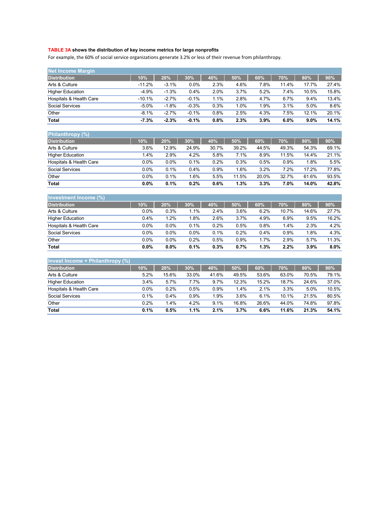## **TABLE 3A shows the distribution of key income metrics for large nonprofits**

For example, the 60% of social service organizations generate 3.2% or less of their revenue from philanthropy.

| <b>Net Income Margin</b> |          |         |         |      |      |      |       |         |       |
|--------------------------|----------|---------|---------|------|------|------|-------|---------|-------|
| <b>Distribution</b>      | 10%      | 20%     | 30%     | 40%  | 50%  | 60%  | 70%   | 80%     | 90%   |
| Arts & Culture           | $-11.2%$ | $-3.1%$ | $0.0\%$ | 2.3% | 4.6% | 7.8% | 11.4% | 17.7%   | 27.4% |
| <b>Higher Education</b>  | $-4.9%$  | $-1.3%$ | 0.4%    | 2.0% | 3.7% | 5.2% | 7.4%  | 10.5%   | 15.8% |
| Hospitals & Health Care  | $-10.1%$ | $-2.7%$ | $-0.1%$ | 1.1% | 2.8% | 4.7% | 6.7%  | 9.4%    | 13.4% |
| Social Services          | $-5.0%$  | $-1.8%$ | $-0.3%$ | 0.3% | 1.0% | 1.9% | 3.1%  | 5.0%    | 8.6%  |
| Other                    | $-8.1%$  | $-2.7%$ | $-0.1%$ | 0.8% | 2.5% | 4.3% | 7.5%  | 12.1%   | 20.1% |
| <b>Total</b>             | $-7.3%$  | $-2.3%$ | $-0.1%$ | 0.8% | 2.3% | 3.9% | 6.0%  | $9.0\%$ | 14.1% |

| <b>Philanthropy</b> (%) |      |         |        |       |       |       |       |       |         |
|-------------------------|------|---------|--------|-------|-------|-------|-------|-------|---------|
| <b>Distribution</b>     | 10%  | 20%     | 30%    | 40%   | 50%   | 60%   | 70%   | 80%   | $.90\%$ |
| Arts & Culture          | 3.6% | 12.9%   | 24.9%  | 30.7% | 39.2% | 44.5% | 49.3% | 54.3% | 69.1%   |
| <b>Higher Education</b> | 1.4% | 2.9%    | 4.2%   | 5.8%  | 7.1%  | 8.9%  | 11.5% | 14.4% | 21.1%   |
| Hospitals & Health Care | 0.0% | $0.0\%$ | 0.1%   | 0.2%  | 0.3%  | 0.5%  | 0.9%  | 1.8%  | 5.5%    |
| Social Services         | 0.0% | 0.1%    | 0.4%   | 0.9%  | 1.6%  | 3.2%  | 7.2%  | 17.2% | 77.8%   |
| Other                   | 0.0% | 0.1%    | $.6\%$ | 5.5%  | 11.5% | 20.0% | 32.7% | 61.6% | 93.5%   |
| <b>Total</b>            | 0.0% | 0.1%    | 0.2%   | 0.6%  | 1.3%  | 3.3%  | 7.0%  | 14.0% | 42.8%   |

| Investment Income (%)   |         |         |         |      |      |      |       |       |       |
|-------------------------|---------|---------|---------|------|------|------|-------|-------|-------|
| <b>Distribution</b>     | 10%     | 20%     | 30%     | 40%  | 50%  | 60%  | 70%   | 80%   | 90%   |
| Arts & Culture          | 0.0%    | 0.3%    | 1.1%    | 2.4% | 3.6% | 6.2% | 10.7% | 14.6% | 27.7% |
| <b>Higher Education</b> | 0.4%    | 1.2%    | 1.8%    | 2.6% | 3.7% | 4.9% | 6.9%  | 9.5%  | 16.2% |
| Hospitals & Health Care | 0.0%    | 0.0%    | 0.1%    | 0.2% | 0.5% | 0.8% | 1.4%  | 2.3%  | 4.2%  |
| Social Services         | 0.0%    | 0.0%    | $0.0\%$ | 0.1% | 0.2% | 0.4% | 0.9%  | 1.8%  | 4.3%  |
| Other                   | 0.0%    | $0.0\%$ | 0.2%    | 0.5% | 0.9% | 1.7% | 2.9%  | 5.7%  | 11.3% |
| <b>Total</b>            | $0.0\%$ | $0.0\%$ | 0.1%    | 0.3% | 0.7% | 1.3% | 2.2%  | 3.9%  | 8.0%  |

| Invest Income + Philanthropy $(\%)$ |      |       |       |       |       |       |       |       |       |
|-------------------------------------|------|-------|-------|-------|-------|-------|-------|-------|-------|
| <b>Distribution</b>                 | 10%  | 20%   | 30%   | 40%   | 50%   | 60%   | 70%   | 80%   | 90%   |
| Arts & Culture                      | 5.2% | 15.6% | 33.0% | 41.6% | 49.5% | 53.6% | 63.0% | 70.5% | 79.1% |
| <b>Higher Education</b>             | 3.4% | 5.7%  | 7.7%  | 9.7%  | 12.3% | 15.2% | 18.7% | 24.6% | 37.0% |
| Hospitals & Health Care             | 0.0% | 0.2%  | 0.5%  | 0.9%  | 1.4%  | 2.1%  | 3.3%  | 5.0%  | 10.5% |
| <b>Social Services</b>              | 0.1% | 0.4%  | 0.9%  | 1.9%  | 3.6%  | 6.1%  | 10.1% | 21.5% | 80.5% |
| Other                               | 0.2% | 1.4%  | 4.2%  | 9.1%  | 16.8% | 26.6% | 44.0% | 74.8% | 97.8% |
| <b>Total</b>                        | 0.1% | 0.5%  | 1.1%  | 2.1%  | 3.7%  | 6.6%  | 11.6% | 21.3% | 54.1% |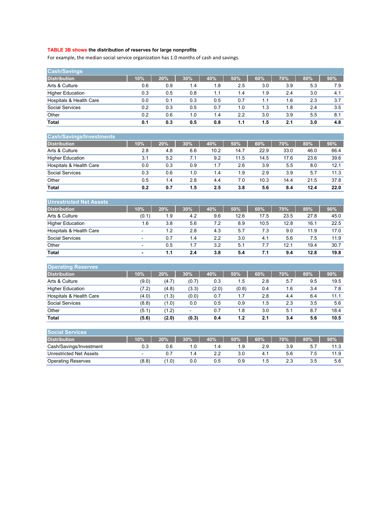#### **TABLE 3B shows the distribution of reserves for large nonprofits**

For example, the median social service organization has 1.0 months of cash and savings.

| <b>Cash/Savings</b>     |     |     |     |     |     |     |     |     |     |
|-------------------------|-----|-----|-----|-----|-----|-----|-----|-----|-----|
| <b>Distribution</b>     | 10% | 20% | 30% | 40% | 50% | 60% | 70% | 80% | 90% |
| Arts & Culture          | 0.6 | 0.9 | 1.4 | 1.8 | 2.5 | 3.0 | 3.9 | 5.3 | 7.9 |
| <b>Higher Education</b> | 0.3 | 0.5 | 0.8 | 1.1 | 1.4 | 1.9 | 2.4 | 3.0 | 4.1 |
| Hospitals & Health Care | 0.0 | 0.1 | 0.3 | 0.5 | 0.7 | 1.1 | 1.6 | 2.3 | 3.7 |
| Social Services         | 0.2 | 0.3 | 0.5 | 0.7 | 1.0 | 1.3 | 1.8 | 2.4 | 3.5 |
| Other                   | 0.2 | 0.6 | 1.0 | 1.4 | 2.2 | 3.0 | 3.9 | 5.5 | 8.1 |
| <b>Total</b>            | 0.1 | 0.3 | 0.5 | 0.8 | 1.1 | 1.5 | 2.1 | 3.0 | 4.8 |

| <b>Cash/Savings/Investments</b> |     |     |     |      |      |      |      |      |      |
|---------------------------------|-----|-----|-----|------|------|------|------|------|------|
| <b>Distribution</b>             | 10% | 20% | 30% | 40%  | 50%  | 60%  | 70%  | 80%  | 90%  |
| Arts & Culture                  | 2.8 | 4.8 | 6.6 | 10.2 | 14.7 | 22.9 | 33.0 | 46.0 | 66.4 |
| <b>Higher Education</b>         | 3.1 | 5.2 | 7.1 | 9.2  | 11.5 | 14.5 | 17.6 | 23.6 | 39.6 |
| Hospitals & Health Care         | 0.0 | 0.3 | 0.9 | 1.7  | 2.6  | 3.9  | 5.5  | 8.0  | 12.1 |
| Social Services                 | 0.3 | 0.6 | 1.0 | 1.4  | 1.9  | 2.9  | 3.9  | 5.7  | 11.3 |
| Other                           | 0.5 | 1.4 | 2.8 | 4.4  | 7.0  | 10.3 | 14.4 | 21.5 | 37.8 |
| <b>Total</b>                    | 0.2 | 0.7 | 1.5 | 2.5  | 3.8  | 5.6  | 8.4  | 12.4 | 22.0 |

| Unrestricted Net Assets |                          |     |     |     |      |      |      |      |      |
|-------------------------|--------------------------|-----|-----|-----|------|------|------|------|------|
| <b>Distribution</b>     | 10%                      | 20% | 30% | 40% | 50%  | 60%  | 70%  | 80%  | 90%  |
| Arts & Culture          | (0.1)                    | 1.9 | 4.2 | 9.6 | 12.6 | 17.5 | 23.5 | 27.8 | 45.0 |
| <b>Higher Education</b> | 1.6                      | 3.8 | 5.6 | 7.2 | 8.9  | 10.5 | 12.8 | 16.1 | 22.5 |
| Hospitals & Health Care | -                        | 1.2 | 2.8 | 4.3 | 5.7  | 7.3  | 9.0  | 11.9 | 17.0 |
| <b>Social Services</b>  | ٠                        | 0.7 | 1.4 | 2.2 | 3.0  | 4.1  | 5.6  | 7.5  | 11.9 |
| Other                   | $\overline{\phantom{a}}$ | 0.5 | 1.7 | 3.2 | 5.1  | 7.7  | 12.1 | 19.4 | 30.7 |
| <b>Total</b>            | -                        | 1.1 | 2.4 | 3.8 | 5.4  | 7.1  | 9.4  | 12.8 | 19.8 |

| <b>Operating Reserves</b> |       |       |       |       |       |     |     |     |      |
|---------------------------|-------|-------|-------|-------|-------|-----|-----|-----|------|
| <b>Distribution</b>       | 10%   | 20%   | 30%   | 40%   | 50%   | 60% | 70% | 80% | 90%  |
| Arts & Culture            | (9.0) | (4.7) | (0.7) | 0.3   | 1.5   | 2.8 | 5.7 | 9.5 | 19.5 |
| <b>Higher Education</b>   | (7.2) | (4.8) | (3.3) | (2.0) | (0.8) | 0.4 | 1.6 | 3.4 | 7.8  |
| Hospitals & Health Care   | (4.0) | (1.3) | (0.0) | 0.7   | 1.7   | 2.8 | 4.4 | 6.4 | 11.1 |
| <b>Social Services</b>    | (8.8) | (1.0) | 0.0   | 0.5   | 0.9   | 5.، | 2.3 | 3.5 | 5.6  |
| Other                     | (5.1) | (1.2) | -     | 0.7   | 1.8   | 3.0 | 5.1 | 8.7 | 18.4 |
| <b>Total</b>              | (5.6) | (2.0) | (0.3) | 0.4   | 1.2   | 2.1 | 3.4 | 5.6 | 10.5 |

| <b>Social Services</b>         |                          |       |     |      |     |      |     |     |      |
|--------------------------------|--------------------------|-------|-----|------|-----|------|-----|-----|------|
| <b>Distribution</b>            | 10%                      | 20%   | 30% | 40%  | 50% | 60%  | 70% | 80% | 90%  |
| Cash/Savings/Investment        | 0.3                      |       |     | . .4 | 1.9 | 2.9  | 3.9 |     | 11.3 |
| <b>Unrestricted Net Assets</b> | $\overline{\phantom{a}}$ |       | 1.4 |      | 3.0 | 4.1  | 5.6 |     | 11.9 |
| <b>Operating Reserves</b>      | (8.8)                    | (1.0) | 0.0 | 0.5  | 0.9 | 5. ، | 2.3 | 3.5 | 5.6  |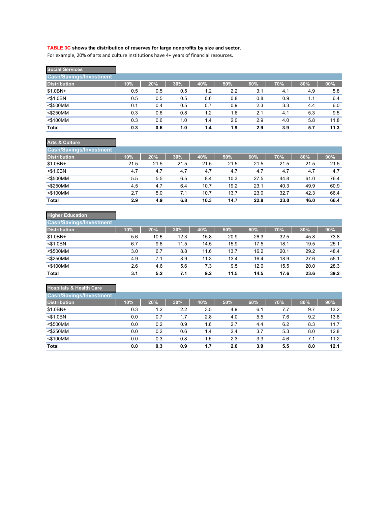#### **TABLE 3C shows the distribution of reserves for large nonprofits by size and sector.**

For example, 20% of arts and culture institutions have 4+ years of financial resources.

| <b>Social Services</b>         |     |     |     |     |     |     |     |     |      |
|--------------------------------|-----|-----|-----|-----|-----|-----|-----|-----|------|
| <b>Cash/Savings/Investment</b> |     |     |     |     |     |     |     |     |      |
| <b>Distribution</b>            | 10% | 20% | 30% | 40% | 50% | 60% | 70% | 80% | 90%  |
| $$1.0BN+$                      | 0.5 | 0.5 | 0.5 | 1.2 | 2.2 | 3.1 | 4.1 | 4.9 | 5.8  |
| $<$ \$1.0BN                    | 0.5 | 0.5 | 0.5 | 0.6 | 0.8 | 0.8 | 0.9 | 1.1 | 6.4  |
| <\$500MM                       | 0.1 | 0.4 | 0.5 | 0.7 | 0.9 | 2.3 | 3.3 | 4.4 | 6.0  |
| <\$250MM                       | 0.3 | 0.6 | 0.8 | 1.2 | 1.6 | 2.1 | 4.1 | 5.3 | 9.5  |
| <\$100MM                       | 0.3 | 0.6 | 1.0 | 1.4 | 2.0 | 2.9 | 4.0 | 5.8 | 11.8 |
| <b>Total</b>                   | 0.3 | 0.6 | 1.0 | 1.4 | 1.9 | 2.9 | 3.9 | 5.7 | 11.3 |

| <b>Arts &amp; Culture</b>      |      |      |      |      |      |      |      |      |      |
|--------------------------------|------|------|------|------|------|------|------|------|------|
| <b>Cash/Savings/Investment</b> |      |      |      |      |      |      |      |      |      |
| Distribution <sup>1</sup>      | 10%  | 20%  | 30%  | 40%  | 50%  | 60%  | 70%  | 80%  | 90%  |
| $$1.0BN+$                      | 21.5 | 21.5 | 21.5 | 21.5 | 21.5 | 21.5 | 21.5 | 21.5 | 21.5 |
| $<$ \$1.0BN                    | 4.7  | 4.7  | 4.7  | 4.7  | 4.7  | 4.7  | 4.7  | 4.7  | 4.7  |
| $<$ \$500MM                    | 5.5  | 5.5  | 6.5  | 8.4  | 10.3 | 27.5 | 44.8 | 61.0 | 76.4 |
| $<$ \$250MM                    | 4.5  | 4.7  | 6.4  | 10.7 | 19.2 | 23.1 | 40.3 | 49.9 | 60.9 |
| $<$ \$100MM                    | 2.7  | 5.0  | 7.1  | 10.7 | 13.7 | 23.0 | 32.7 | 42.3 | 66.4 |
| Total                          | 2.9  | 4.9  | 6.8  | 10.3 | 14.7 | 22.8 | 33.0 | 46.0 | 66.4 |

# **Higher Education**

| <b>Cash/Savings/Investment</b> |     |      |      |      |      |      |      |      |      |
|--------------------------------|-----|------|------|------|------|------|------|------|------|
| <b>Distribution</b>            | 10% | 20%  | 30%  | 40%  | 50%  | 60%  | 70%  | 80%  | 90%  |
| $$1.0BN+$                      | 5.6 | 10.6 | 12.3 | 15.8 | 20.9 | 26.3 | 32.5 | 45.8 | 73.8 |
| $<$ \$1.0BN                    | 6.7 | 9.6  | 11.5 | 14.5 | 15.9 | 17.5 | 18.1 | 19.5 | 25.1 |
| $<$ \$500MM                    | 3.0 | 6.7  | 8.8  | 11.6 | 13.7 | 16.2 | 20.1 | 29.2 | 48.4 |
| $<$ \$250MM                    | 4.9 | 7.1  | 8.9  | 11.3 | 13.4 | 16.4 | 18.9 | 27.6 | 55.1 |
| $<$ \$100MM                    | 2.6 | 4.6  | 5.6  | 7.3  | 9.5  | 12.0 | 15.5 | 20.0 | 28.3 |
| <b>Total</b>                   | 3.1 | 5.2  | 7.1  | 9.2  | 11.5 | 14.5 | 17.6 | 23.6 | 39.2 |

## **Hospitals & Health Care**

| <b>Cash/Savings/Investment</b> |     |     |     |     |     |     |     |     |      |
|--------------------------------|-----|-----|-----|-----|-----|-----|-----|-----|------|
| <b>Distribution</b>            | 10% | 20% | 30% | 40% | 50% | 60% | 70% | 80% | 90%  |
| $$1.0BN+$                      | 0.3 | 1.2 | 2.2 | 3.5 | 4.9 | 6.1 | 7.7 | 9.7 | 13.2 |
| $<$ \$1.0BN                    | 0.0 | 0.7 | 1.7 | 2.8 | 4.0 | 5.5 | 7.6 | 9.2 | 13.8 |
| $<$ \$500MM                    | 0.0 | 0.2 | 0.9 | 1.6 | 2.7 | 4.4 | 6.2 | 8.3 | 11.7 |
| <\$250MM                       | 0.0 | 0.2 | 0.6 | 1.4 | 2.4 | 3.7 | 5.3 | 8.0 | 12.8 |
| <\$100MM                       | 0.0 | 0.3 | 0.8 | 1.5 | 2.3 | 3.3 | 4.6 | 7.1 | 11.2 |
| <b>Total</b>                   | 0.0 | 0.3 | 0.9 | 1.7 | 2.6 | 3.9 | 5.5 | 8.0 | 12.1 |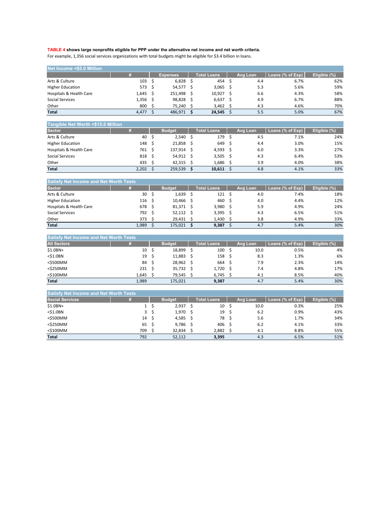## **TABLE 4 shows large nonprofits eligible for PPP under the alternative net income and net worth criteria.**

For example, 1,356 social services organizations with total budgets might be eligible for \$3.4 billion in loans.

| Net Income <\$5.0 Million |            |          |                    |          |                  |               |
|---------------------------|------------|----------|--------------------|----------|------------------|---------------|
|                           |            | Expenses | <b>Total Loans</b> | Avg Loan | Loans (% of Exp) | Eligible (%), |
| Arts & Culture            | 103        | 6,828    | 454                | 4.4      | 6.7%             | 62%           |
| <b>Higher Education</b>   | 573 \$     | 54,577   | 3.065              | 5.3      | 5.6%             | 59%           |
| Hospitals & Health Care   | $1,645$ \$ | 251,498  | 10,927             | 6.6      | 4.3%             | 58%           |
| Social Services           | $1,356$ \$ | 98,828   | 6,637              | 4.9      | 6.7%             | 88%           |
| Other                     | 800        | 75.240   | 3,462              | 4.3      | 4.6%             | 70%           |
| <b>Total</b>              | 4,477      | 486.971  | 24,545             | 5.5      | 5.0%             | 67%           |

#### **Tangible Net Worth <\$15.0 Million**

| <b>Sector</b>           |            | <b>Budget</b> | <b>Total Loans</b> | Avg Loan | Loans (% of Exp) | Eligible (%) |
|-------------------------|------------|---------------|--------------------|----------|------------------|--------------|
| Arts & Culture          | 40         | $2,540$ \$    | 179                | 4.5      | 7.1%             | 24%          |
| <b>Higher Education</b> | 148        | 21,858 \$     | 649                | 4.4      | 3.0%             | 15%          |
| Hospitals & Health Care | 761        | 137.914       | 4,593              | 6.0      | 3.3%             | 27%          |
| Social Services         | 818 \$     | 54,912 \$     | 3,505              | 4.3      | 6.4%             | 53%          |
| Other                   | 435 \$     | $42,315$ \$   | 1.686              | 3.9      | 4.0%             | 38%          |
| <b>Total</b>            | $2,202$ \$ | 259,539       | 10,611             | 4.8      | 4.1%             | 33%          |

| <b>Satisfy Net Income and Net Worth Tests</b> |                |  |               |  |                    |  |          |                  |              |  |  |  |  |  |
|-----------------------------------------------|----------------|--|---------------|--|--------------------|--|----------|------------------|--------------|--|--|--|--|--|
| <b>Sector</b>                                 |                |  | <b>Budget</b> |  | <b>Total Loans</b> |  | Avg Loan | Loans (% of Exp) | Eligible (%) |  |  |  |  |  |
| Arts & Culture                                | 30             |  | 1,639         |  | 121                |  | 4.0      | 7.4%             | 18%          |  |  |  |  |  |
| <b>Higher Education</b>                       | $116 \quad$ \$ |  | $10,466$ \$   |  | 460                |  | 4.0      | 4.4%             | 12%          |  |  |  |  |  |
| Hospitals & Health Care                       | 678            |  | 81,371        |  | 3,980              |  | 5.9      | 4.9%             | 24%          |  |  |  |  |  |
| Social Services                               | 792 \$         |  | 52,112        |  | 3,395              |  | 4.3      | 6.5%             | 51%          |  |  |  |  |  |
| Other                                         | 373            |  | 29,431        |  | 1,430              |  | 3.8      | 4.9%             | 33%          |  |  |  |  |  |
| <b>Total</b>                                  | 1,989          |  | 175.021       |  | 9,387              |  | 4.7      | 5.4%             | 30%          |  |  |  |  |  |

| <b>Satisfy Net Income and Net Worth Tests</b> |                 |     |               |                    |          |                  |              |
|-----------------------------------------------|-----------------|-----|---------------|--------------------|----------|------------------|--------------|
| <b>All Sectors</b>                            |                 |     | <b>Budget</b> | <b>Total Loans</b> | Avg Loan | Loans (% of Exp) | Eligible (%) |
| $$1.0BN+$                                     | 10 <sup>5</sup> |     | 18,899        | 100                | 10.0     | 0.5%             | 4%           |
| $<$ \$1.0BN                                   | 19              | - S | 11,883        | 158                | 8.3      | 1.3%             | 6%           |
| $<$ \$500MM                                   | 84              |     | 28,962 \$     | 664                | 7.9      | 2.3%             | 14%          |
| $<$ \$250MM                                   | 231             |     | 35,732 \$     | 1,720              | 7.4      | 4.8%             | 17%          |
| $<$ \$100MM                                   | $1,645$ \$      |     | 79.545        | 6,745              | 4.1      | 8.5%             | 40%          |
| <b>Total</b>                                  | 1.989           |     | 175,021       | 9,387              | 4.7      | 5.4%             | 30%          |

| <b>Satisfy Net Income and Net Worth Tests</b> |               |                                        |          |                           |              |
|-----------------------------------------------|---------------|----------------------------------------|----------|---------------------------|--------------|
|                                               | <b>Budget</b> | <b>Total Loans</b>                     | Avg Loan | Loans (% of Exp) <b>b</b> | Eligible (%) |
|                                               | 2,937         | 10                                     | 10.0     | 0.3%                      | 25%          |
|                                               |               | 19                                     | 6.2      | 0.9%                      | 43%          |
| 14                                            |               | 78                                     | 5.6      | 1.7%                      | 34%          |
| 65                                            |               | 406                                    | 6.2      | 4.1%                      | 33%          |
| 709                                           | 32.834        | 2,882                                  | 4.1      | 8.8%                      | 55%          |
| 792                                           | 52.112        | 3,395                                  | 4.3      | 6.5%                      | 51%          |
|                                               | 3             | $1,970$ \$<br>$4,585$ \$<br>$9,786$ \$ |          |                           |              |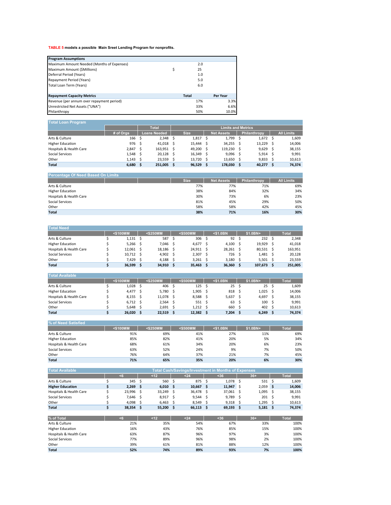## **TABLE 5 models a possible Main Sreet Lending Program for nonprofits.**

| <b>Program Assumptions</b>                 |              |          |
|--------------------------------------------|--------------|----------|
| Maximum Amount Needed (Months of Expenses) | 2.0          |          |
| Maximum Amount (\$Millions)<br>\$          | 25           |          |
| Deferral Period (Years)                    | 1.0          |          |
| Repayment Period (Years)                   | 5.0          |          |
| Total Loan Term (Years)                    | 6.0          |          |
| <b>Repayment Capacity Metrics</b>          | <b>Total</b> | Per Year |
| Revenue (per annum over repayment period)  | 17%          | 3.3%     |
| Unrestricted Net Assets ("UNA")            | 33%          | 6.6%     |
| Philanthropy                               | 50%          | 10.0%    |

| Total Loan Program      |           |    |                     |                           |             |  |                   |    |                     |  |                   |  |
|-------------------------|-----------|----|---------------------|---------------------------|-------------|--|-------------------|----|---------------------|--|-------------------|--|
|                         |           |    | <b>Total</b>        | <b>Limits and Metrics</b> |             |  |                   |    |                     |  |                   |  |
|                         | # of Orgs |    | <b>Loans Needed</b> |                           | <b>Size</b> |  | <b>Net Assets</b> |    | <b>Philanthropy</b> |  | <b>All Limits</b> |  |
| Arts & Culture          | 166       | S  | $2,348$ \$          |                           | $1,817$ \$  |  | 1,799             |    | $1,672$ \$          |  | 1,609             |  |
| <b>Higher Education</b> | 976       | S  | 41.018 \$           |                           | 15,444 \$   |  | 34,255            |    | 13,229              |  | 14,006            |  |
| Hospitals & Health Care | 2,847     | s  | 163,951 \$          |                           | 49,200 \$   |  | 119,230           | .S | $9,629$ \$          |  | 38,155            |  |
| Social Services         | 1,548     |    | $20,128$ \$         |                           | 16,349 \$   |  | 9,096             |    | $5,914$ \$          |  | 9.991             |  |
| Other                   | 1.143     | .s | 23,559 \$           |                           | 13,720 \$   |  | 13,650            |    | 9,833               |  | 10.613            |  |
| <b>Total</b>            | 6,680     |    | 251,005             |                           | $96,529$ \$ |  | 178,030           |    | $40,277$ \$         |  | 74,374            |  |

| <b>Percentage Of Need Based On Limits</b> |             |                   |              |                   |  |  |  |  |  |  |  |
|-------------------------------------------|-------------|-------------------|--------------|-------------------|--|--|--|--|--|--|--|
|                                           | <b>Size</b> | <b>Net Assets</b> | Philanthropy | <b>All Limits</b> |  |  |  |  |  |  |  |
| Arts & Culture                            | 77%         | 77%               | 71%          | 69%               |  |  |  |  |  |  |  |
| <b>Higher Education</b>                   | 38%         | 84%               | 32%          | 34%               |  |  |  |  |  |  |  |
| Hospitals & Health Care                   | 30%         | 73%               | 6%           | 23%               |  |  |  |  |  |  |  |
| Social Services                           | 81%         | 45%               | 29%          | 50%               |  |  |  |  |  |  |  |
| Other                                     | 58%         | 58%               | 42%          | 45%               |  |  |  |  |  |  |  |
| <b>Total</b>                              | 38%         | 71%               | 16%          | 30%               |  |  |  |  |  |  |  |
|                                           |             |                   |              |                   |  |  |  |  |  |  |  |

| <b>Total Need</b>       |          |             |             |             |            |              |
|-------------------------|----------|-------------|-------------|-------------|------------|--------------|
|                         | <\$100MM | $<$ \$250MM | <\$500MM    | $<$ \$1.0BN | \$1.0BN+   | <b>Total</b> |
| Arts & Culture          | 1.131    | 587         | 306         | 92          | 232        | 2.348        |
| <b>Higher Education</b> | 5.266    | 7.046       | 4.677S      | 4.100       | 19.929     | 41.018       |
| Hospitals & Health Care | 12.061   | 18.186      | 24,911 \$   | 28.261      | 80.531     | 163,951      |
| Social Services         | 10.712   | 4.902       | $2,307$ \$  | 726         | 1.481      | 20.128       |
| Other                   | 7.429    | 4.188       | $3,261$ \$  | 3.180       | $5.501$ \$ | 23.559       |
| <b>Total</b>            | 36.599   | 34,910      | $35,463$ \$ | 36.360      | 107.673    | 251,005      |

| <b>Total</b> |
|--------------|
| 1,609        |
| 14,006       |
| 38,155       |
| 9,991        |
| 10,613       |
| 74,374       |
|              |

| l% of Need Satisfied    |          |             |          |             |          |              |  |  |  |  |
|-------------------------|----------|-------------|----------|-------------|----------|--------------|--|--|--|--|
|                         | <\$100MM | $<$ \$250MM | <\$500MM | $<$ \$1.0BN | \$1.0BN+ | <b>Total</b> |  |  |  |  |
| Arts & Culture          | 91%      | 69%         | 41%      | 27%         | 11%      | 69%          |  |  |  |  |
| <b>Higher Education</b> | 85%      | 82%         | 41%      | 20%         | 5%       | 34%          |  |  |  |  |
| Hospitals & Health Care | 68%      | 61%         | 34%      | 20%         | 6%       | 23%          |  |  |  |  |
| Social Services         | 63%      | 52%         | 24%      | 9%          | 7%       | 50%          |  |  |  |  |
| Other                   | 76%      | 64%         | 37%      | 21%         | 7%       | 45%          |  |  |  |  |
| <b>Total</b>            | 71%      | 65%         | 35%      | 20%         | 6%       | 30%          |  |  |  |  |

| <b>Total Available</b>  | Total Cash/Savings/Investment in Months of Expenses |        |  |                    |  |            |  |        |  |            |  |              |
|-------------------------|-----------------------------------------------------|--------|--|--------------------|--|------------|--|--------|--|------------|--|--------------|
|                         |                                                     |        |  | < 12               |  | $24$       |  | $36$   |  | $36+$      |  | <b>Total</b> |
| Arts & Culture          |                                                     | 345    |  | 560 \$             |  | 875        |  | 1.078  |  | 531        |  | 1.609        |
| <b>Higher Education</b> |                                                     | 2.269  |  | 6.010 <sub>5</sub> |  | 10.667     |  | 11,947 |  | $2,059$ \$ |  | 14.006       |
| Hospitals & Health Care |                                                     | 23.996 |  | 33.249             |  | 36.478 \$  |  | 37.061 |  | $1,095$ \$ |  | 38.155       |
| Social Services         |                                                     | 7.646  |  | 8.917 \$           |  | 9.544      |  | 9.789  |  | 201        |  | 9.991        |
| Other                   |                                                     | 4.098  |  | 6.463              |  | $8.549$ \$ |  | 9.318  |  | $1.295$ \$ |  | 10.613       |
| <b>Total</b>            |                                                     | 38,354 |  | 55,200             |  | 66,113     |  | 69,193 |  | 5,181      |  | 74.374       |

| % of Total              | - 6 | $<$ 12 | $24$ | <36 | $36+$ | Total |
|-------------------------|-----|--------|------|-----|-------|-------|
| Arts & Culture          | 21% | 35%    | 54%  | 67% | 33%   | 100%  |
| <b>Higher Education</b> | 16% | 43%    | 76%  | 85% | 15%   | 100%  |
| Hospitals & Health Care | 63% | 87%    | 96%  | 97% | 3%    | 100%  |
| Social Services         | 77% | 89%    | 96%  | 98% | 2%    | 100%  |
| Other                   | 39% | 61%    | 81%  | 88% | 12%   | 100%  |
| <b>Total</b>            | 52% | 74%    | 89%  | 93% | 7%    | 100%  |